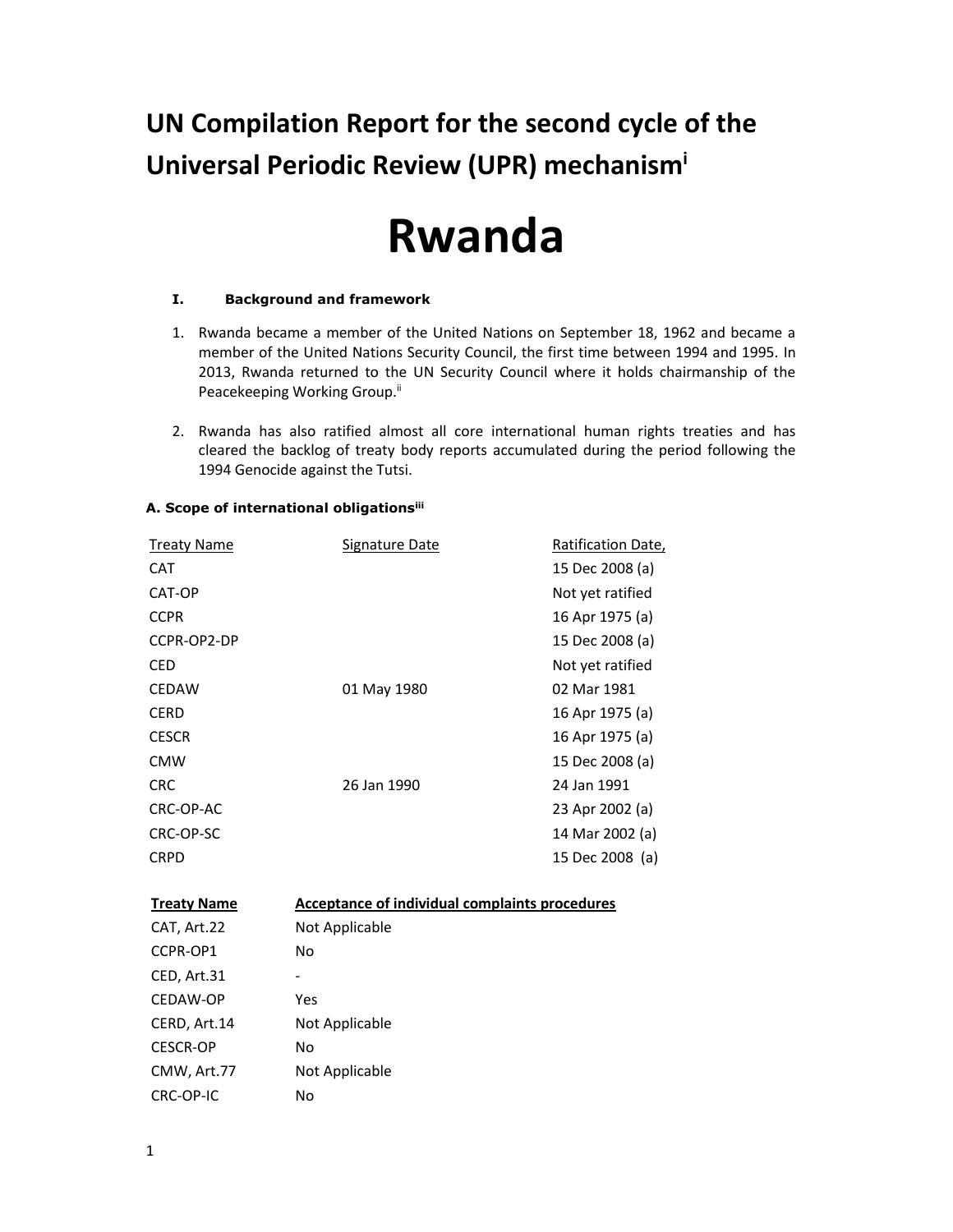**UN Compilation Report for the second cycle of the Universal Periodic Review (UPR) mechanismi**

# **Rwanda**

## **I. Background and framework**

- 1. Rwanda became a member of the United Nations on September 18, 1962 and became a member of the United Nations Security Council, the first time between 1994 and 1995. In 2013, Rwanda returned to the UN Security Council where it holds chairmanship of the Peacekeeping Working Group.<sup>ii</sup>
- 2. Rwanda has also ratified almost all core international human rights treaties and has cleared the backlog of treaty body reports accumulated during the period following the 1994 Genocide against the Tutsi.

| <b>Treaty Name</b> | <b>Signature Date</b>                                 | Ratification Date, |
|--------------------|-------------------------------------------------------|--------------------|
| <b>CAT</b>         |                                                       | 15 Dec 2008 (a)    |
| CAT-OP             |                                                       | Not yet ratified   |
| <b>CCPR</b>        |                                                       | 16 Apr 1975 (a)    |
| CCPR-OP2-DP        |                                                       | 15 Dec 2008 (a)    |
| <b>CED</b>         |                                                       | Not yet ratified   |
| <b>CEDAW</b>       | 01 May 1980                                           | 02 Mar 1981        |
| <b>CERD</b>        |                                                       | 16 Apr 1975 (a)    |
| <b>CESCR</b>       |                                                       | 16 Apr 1975 (a)    |
| <b>CMW</b>         |                                                       | 15 Dec 2008 (a)    |
| <b>CRC</b>         | 26 Jan 1990                                           | 24 Jan 1991        |
| CRC-OP-AC          |                                                       | 23 Apr 2002 (a)    |
| CRC-OP-SC          |                                                       | 14 Mar 2002 (a)    |
| <b>CRPD</b>        |                                                       | 15 Dec 2008 (a)    |
| <b>Treaty Name</b> | <b>Acceptance of individual complaints procedures</b> |                    |
| CAT, Art.22        | Not Applicable                                        |                    |
| CCPR-OP1           | <b>No</b>                                             |                    |
| CED, Art.31        |                                                       |                    |
| CEDAW-OP           | Yes                                                   |                    |
| CERD, Art.14       | Not Applicable                                        |                    |
| <b>CESCR-OP</b>    | No                                                    |                    |
| CMW, Art.77        | Not Applicable                                        |                    |

#### **A. Scope of international obligationsiii**

CRC-OP-IC No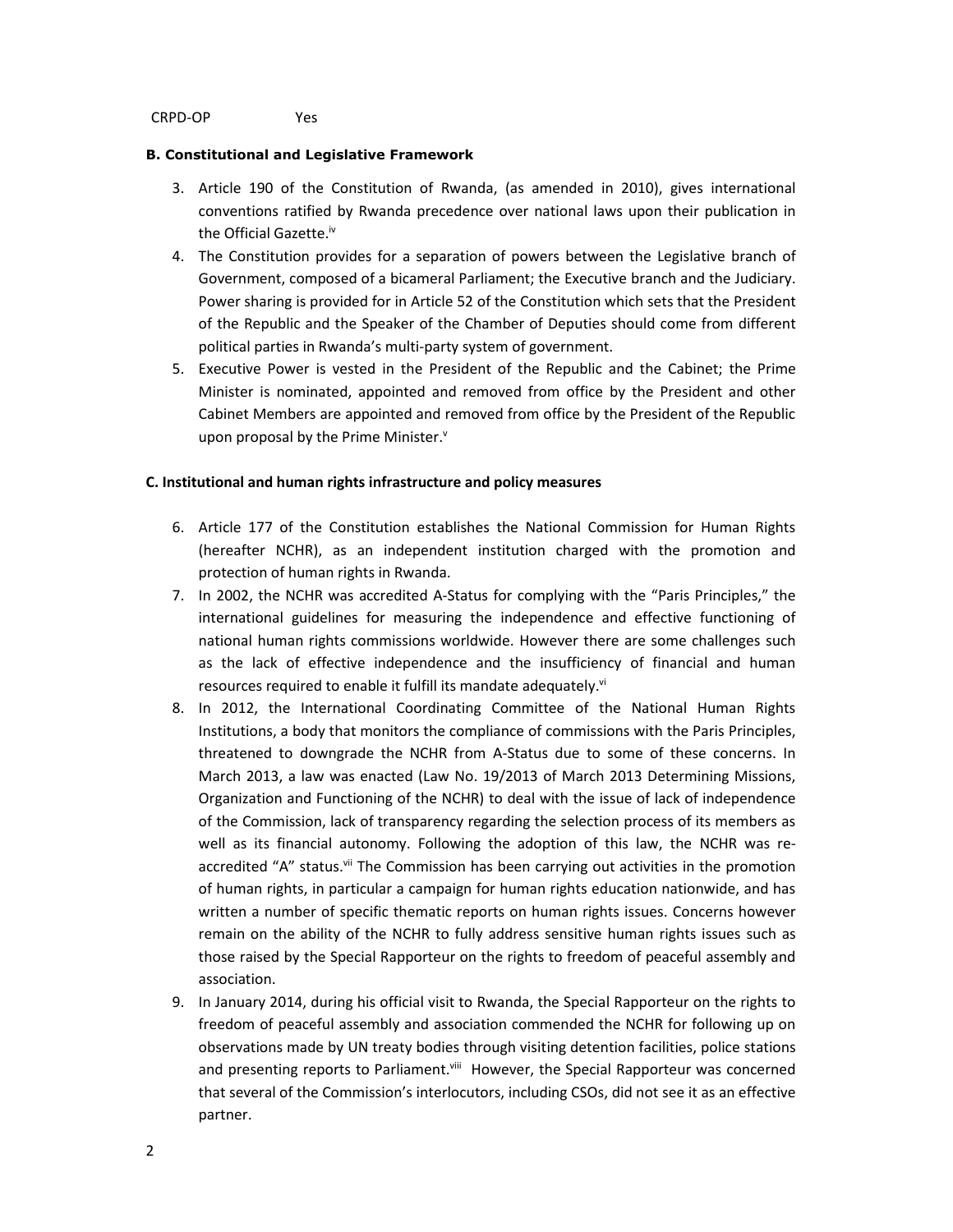#### **B. Constitutional and Legislative Framework**

- 3. Article 190 of the Constitution of Rwanda, (as amended in 2010), gives international conventions ratified by Rwanda precedence over national laws upon their publication in the Official Gazette.<sup>iv</sup>
- 4. The Constitution provides for a separation of powers between the Legislative branch of Government, composed of a bicameral Parliament; the Executive branch and the Judiciary. Power sharing is provided for in Article 52 of the Constitution which sets that the President of the Republic and the Speaker of the Chamber of Deputies should come from different political parties in Rwanda's multi-party system of government.
- 5. Executive Power is vested in the President of the Republic and the Cabinet; the Prime Minister is nominated, appointed and removed from office by the President and other Cabinet Members are appointed and removed from office by the President of the Republic upon proposal by the Prime Minister.<sup>v</sup>

## **C. Institutional and human rights infrastructure and policy measures**

- 6. Article 177 of the Constitution establishes the National Commission for Human Rights (hereafter NCHR), as an independent institution charged with the promotion and protection of human rights in Rwanda.
- 7. In 2002, the NCHR was accredited A-Status for complying with the "Paris Principles," the international guidelines for measuring the independence and effective functioning of national human rights commissions worldwide. However there are some challenges such as the lack of effective independence and the insufficiency of financial and human resources required to enable it fulfill its mandate adequately.<sup>vi</sup>
- 8. In 2012, the International Coordinating Committee of the National Human Rights Institutions, a body that monitors the compliance of commissions with the Paris Principles, threatened to downgrade the NCHR from A-Status due to some of these concerns. In March 2013, a law was enacted (Law No. 19/2013 of March 2013 Determining Missions, Organization and Functioning of the NCHR) to deal with the issue of lack of independence of the Commission, lack of transparency regarding the selection process of its members as well as its financial autonomy. Following the adoption of this law, the NCHR was reaccredited "A" status.<sup>vii</sup> The Commission has been carrying out activities in the promotion of human rights, in particular a campaign for human rights education nationwide, and has written a number of specific thematic reports on human rights issues. Concerns however remain on the ability of the NCHR to fully address sensitive human rights issues such as those raised by the Special Rapporteur on the rights to freedom of peaceful assembly and association.
- 9. In January 2014, during his official visit to Rwanda, the Special Rapporteur on the rights to freedom of peaceful assembly and association commended the NCHR for following up on observations made by UN treaty bodies through visiting detention facilities, police stations and presenting reports to Parliament.<sup>viii</sup> However, the Special Rapporteur was concerned that several of the Commission's interlocutors, including CSOs, did not see it as an effective partner.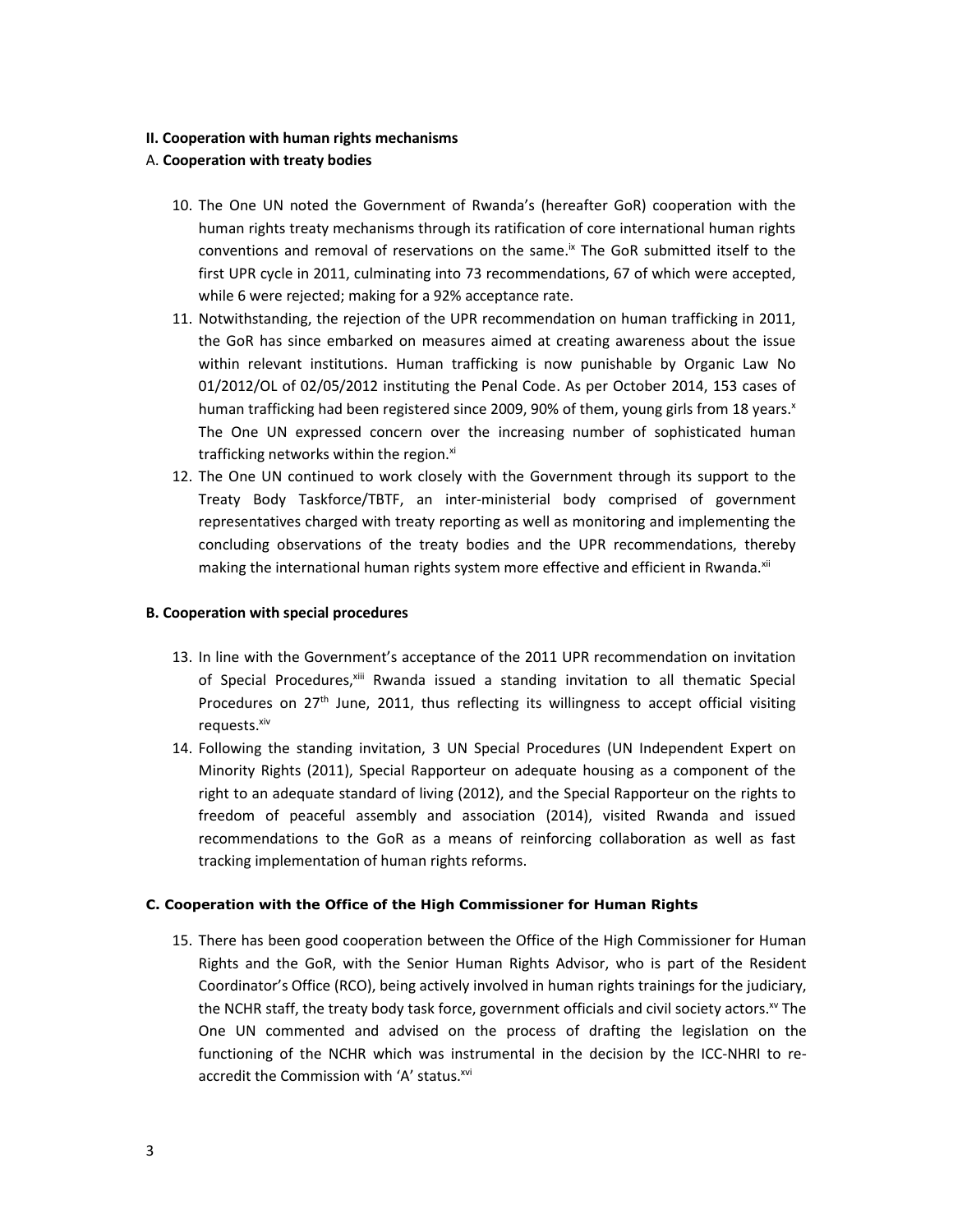## **II. Cooperation with human rights mechanisms**

## A. **Cooperation with treaty bodies**

- 10. The One UN noted the Government of Rwanda's (hereafter GoR) cooperation with the human rights treaty mechanisms through its ratification of core international human rights conventions and removal of reservations on the same.<sup>ix</sup> The GoR submitted itself to the first UPR cycle in 2011, culminating into 73 recommendations, 67 of which were accepted, while 6 were rejected; making for a 92% acceptance rate.
- 11. Notwithstanding, the rejection of the UPR recommendation on human trafficking in 2011, the GoR has since embarked on measures aimed at creating awareness about the issue within relevant institutions. Human trafficking is now punishable by Organic Law No 01/2012/OL of 02/05/2012 instituting the Penal Code. As per October 2014, 153 cases of human trafficking had been registered since 2009, 90% of them, young girls from 18 years. $x$ The One UN expressed concern over the increasing number of sophisticated human trafficking networks within the region.xi
- 12. The One UN continued to work closely with the Government through its support to the Treaty Body Taskforce/TBTF, an inter-ministerial body comprised of government representatives charged with treaty reporting as well as monitoring and implementing the concluding observations of the treaty bodies and the UPR recommendations, thereby making the international human rights system more effective and efficient in Rwanda.<sup>xii</sup>

## **B. Cooperation with special procedures**

- 13. In line with the Government's acceptance of the 2011 UPR recommendation on invitation of Special Procedures,<sup>xiii</sup> Rwanda issued a standing invitation to all thematic Special Procedures on 27<sup>th</sup> June, 2011, thus reflecting its willingness to accept official visiting requests. xiv
- 14. Following the standing invitation, 3 UN Special Procedures (UN Independent Expert on Minority Rights (2011), Special Rapporteur on adequate housing as a component of the right to an adequate standard of living (2012), and the Special Rapporteur on the rights to freedom of peaceful assembly and association (2014), visited Rwanda and issued recommendations to the GoR as a means of reinforcing collaboration as well as fast tracking implementation of human rights reforms.

#### **C. Cooperation with the Office of the High Commissioner for Human Rights**

15. There has been good cooperation between the Office of the High Commissioner for Human Rights and the GoR, with the Senior Human Rights Advisor, who is part of the Resident Coordinator's Office (RCO), being actively involved in human rights trainings for the judiciary, the NCHR staff, the treaty body task force, government officials and civil society actors.<sup>xv</sup> The One UN commented and advised on the process of drafting the legislation on the functioning of the NCHR which was instrumental in the decision by the ICC-NHRI to reaccredit the Commission with 'A' status.<sup>xvi</sup>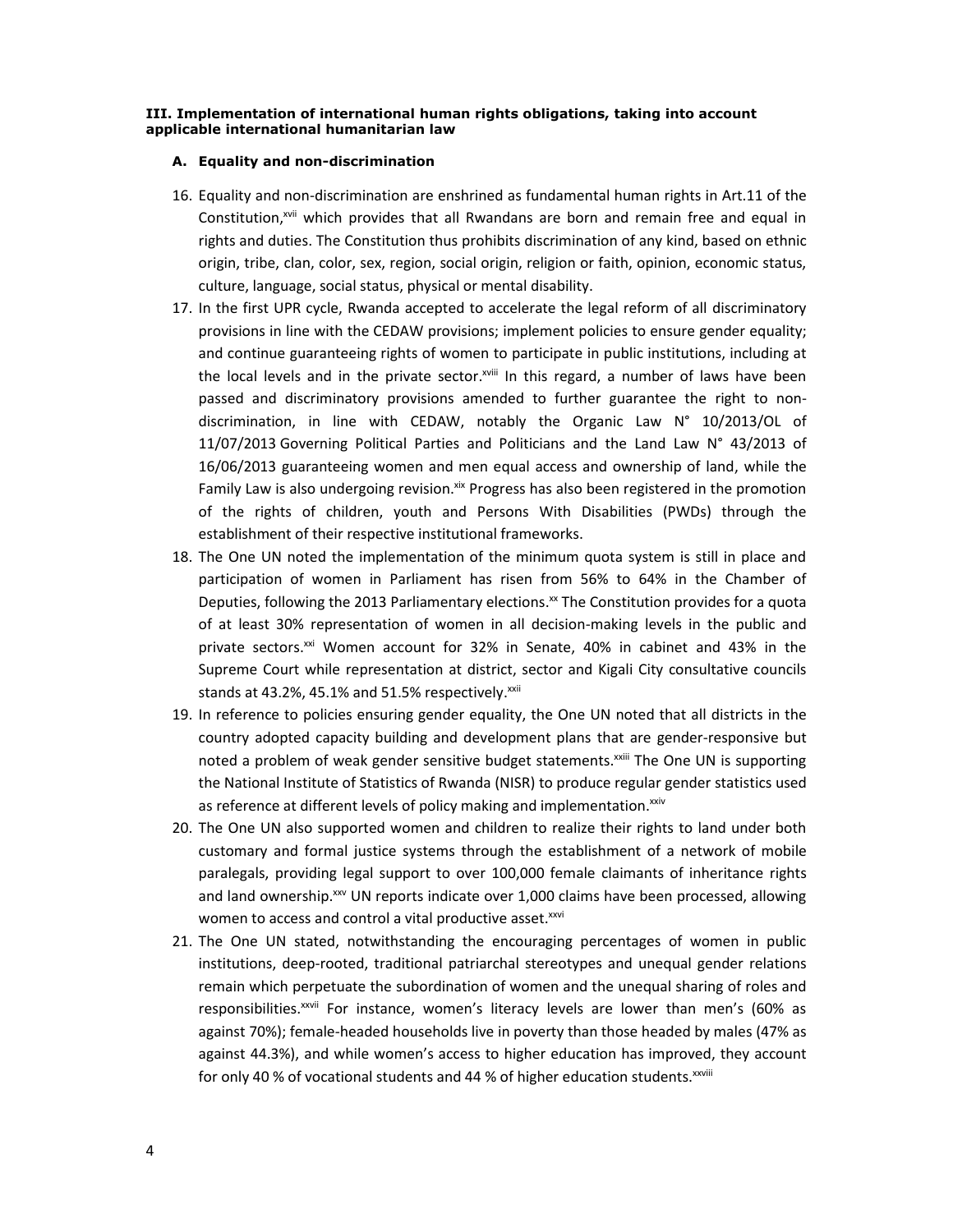#### **III. Implementation of international human rights obligations, taking into account applicable international humanitarian law**

#### **A. Equality and non-discrimination**

- 16. Equality and non-discrimination are enshrined as fundamental human rights in Art.11 of the Constitution,<sup>xvii</sup> which provides that all Rwandans are born and remain free and equal in rights and duties. The Constitution thus prohibits discrimination of any kind, based on ethnic origin, tribe, clan, color, sex, region, social origin, religion or faith, opinion, economic status, culture, language, social status, physical or mental disability.
- 17. In the first UPR cycle, Rwanda accepted to accelerate the legal reform of all discriminatory provisions in line with the CEDAW provisions; implement policies to ensure gender equality; and continue guaranteeing rights of women to participate in public institutions, including at the local levels and in the private sector.xviii In this regard, a number of laws have been passed and discriminatory provisions amended to further guarantee the right to nondiscrimination, in line with CEDAW, notably the Organic Law N° 10/2013/OL of 11/07/2013 Governing Political Parties and Politicians and the Land Law N° 43/2013 of 16/06/2013 guaranteeing women and men equal access and ownership of land, while the Family Law is also undergoing revision.<sup>xix</sup> Progress has also been registered in the promotion of the rights of children, youth and Persons With Disabilities (PWDs) through the establishment of their respective institutional frameworks.
- 18. The One UN noted the implementation of the minimum quota system is still in place and participation of women in Parliament has risen from 56% to 64% in the Chamber of Deputies, following the 2013 Parliamentary elections.<sup>xx</sup> The Constitution provides for a quota of at least 30% representation of women in all decision-making levels in the public and private sectors.<sup>xxi</sup> Women account for 32% in Senate, 40% in cabinet and 43% in the Supreme Court while representation at district, sector and Kigali City consultative councils stands at 43.2%, 45.1% and 51.5% respectively.<sup>xxii</sup>
- 19. In reference to policies ensuring gender equality, the One UN noted that all districts in the country adopted capacity building and development plans that are gender-responsive but noted a problem of weak gender sensitive budget statements.<sup>xxiii</sup> The One UN is supporting the National Institute of Statistics of Rwanda (NISR) to produce regular gender statistics used as reference at different levels of policy making and implementation. XXIV
- 20. The One UN also supported women and children to realize their rights to land under both customary and formal justice systems through the establishment of a network of mobile paralegals, providing legal support to over 100,000 female claimants of inheritance rights and land ownership.<sup>xxv</sup> UN reports indicate over 1,000 claims have been processed, allowing women to access and control a vital productive asset.<sup>xxvi</sup>
- 21. The One UN stated, notwithstanding the encouraging percentages of women in public institutions, deep-rooted, traditional patriarchal stereotypes and unequal gender relations remain which perpetuate the subordination of women and the unequal sharing of roles and responsibilities.<sup>xxvii</sup> For instance, women's literacy levels are lower than men's (60% as against 70%); female-headed households live in poverty than those headed by males (47% as against 44.3%), and while women's access to higher education has improved, they account for only 40 % of vocational students and 44 % of higher education students. xxviii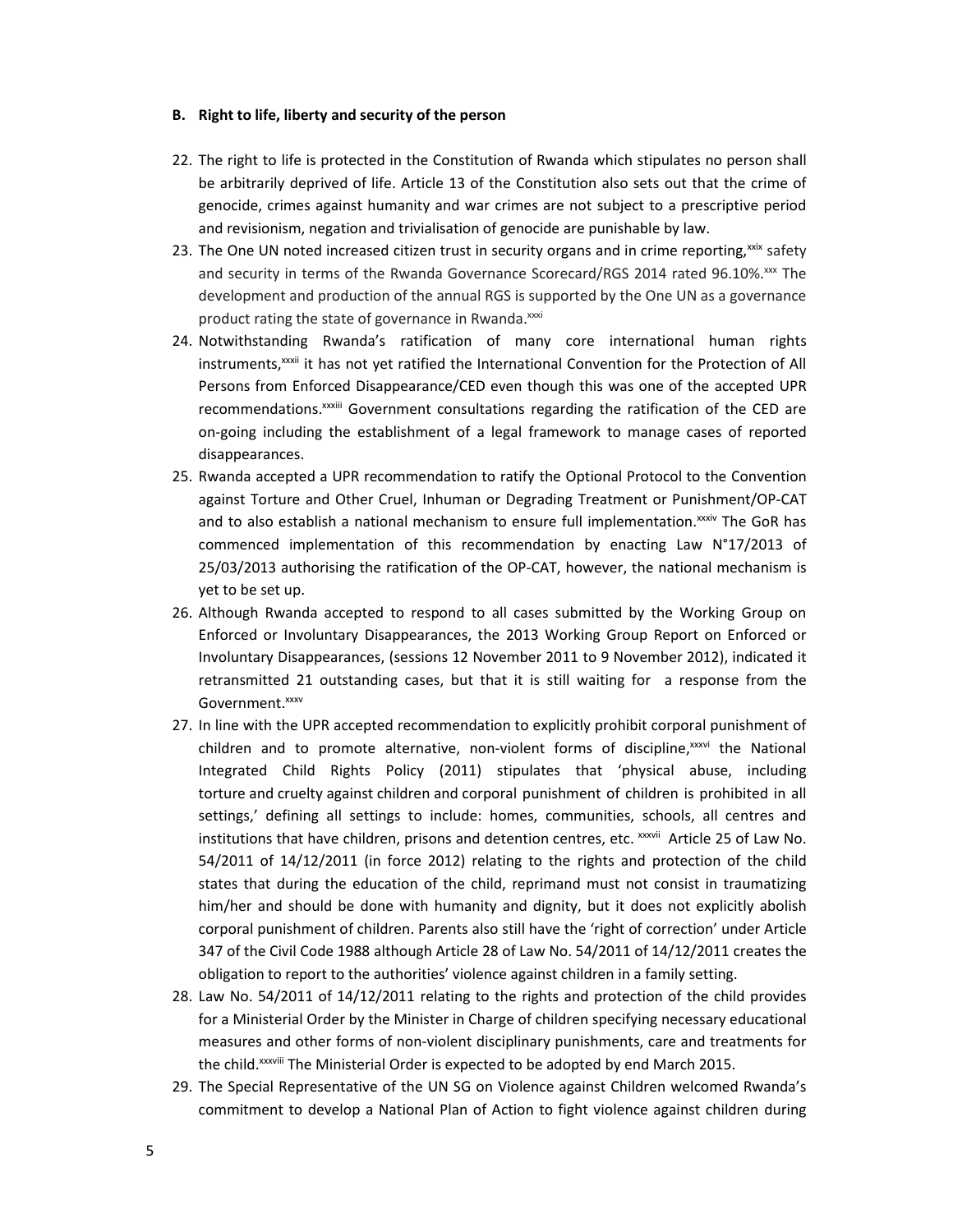#### **B. Right to life, liberty and security of the person**

- 22. The right to life is protected in the Constitution of Rwanda which stipulates no person shall be arbitrarily deprived of life. Article 13 of the Constitution also sets out that the crime of genocide, crimes against humanity and war crimes are not subject to a prescriptive period and revisionism, negation and trivialisation of genocide are punishable by law.
- 23. The One UN noted increased citizen trust in security organs and in crime reporting,<sup>xxix</sup> safety and security in terms of the Rwanda Governance Scorecard/RGS 2014 rated 96.10%.xxx The development and production of the annual RGS is supported by the One UN as a governance product rating the state of governance in Rwanda.<sup>xxxi</sup>
- 24. Notwithstanding Rwanda's ratification of many core international human rights instruments,<sup>xxxii</sup> it has not yet ratified the International Convention for the Protection of All Persons from Enforced Disappearance/CED even though this was one of the accepted UPR recommendations.<sup>xxxiii</sup> Government consultations regarding the ratification of the CED are on-going including the establishment of a legal framework to manage cases of reported disappearances.
- 25. Rwanda accepted a UPR recommendation to ratify the Optional Protocol to the Convention against Torture and Other Cruel, Inhuman or Degrading Treatment or Punishment/OP-CAT and to also establish a national mechanism to ensure full implementation.<sup>xxxiv</sup> The GoR has commenced implementation of this recommendation by enacting Law N°17/2013 of 25/03/2013 authorising the ratification of the OP-CAT, however, the national mechanism is yet to be set up.
- 26. Although Rwanda accepted to respond to all cases submitted by the Working Group on Enforced or Involuntary Disappearances, the 2013 Working Group Report on Enforced or Involuntary Disappearances, (sessions 12 November 2011 to 9 November 2012), indicated it retransmitted 21 outstanding cases, but that it is still waiting for a response from the Government.<sup>xxxv</sup>
- 27. In line with the UPR accepted recommendation to explicitly prohibit corporal punishment of children and to promote alternative, non-violent forms of discipline,<sup>xxxvi</sup> the National Integrated Child Rights Policy (2011) stipulates that 'physical abuse, including torture and cruelty against children and corporal punishment of children is prohibited in all settings,' defining all settings to include: homes, communities, schools, all centres and institutions that have children, prisons and detention centres, etc. xxxvii Article 25 of Law No. 54/2011 of 14/12/2011 (in force 2012) relating to the rights and protection of the child states that during the education of the child, reprimand must not consist in traumatizing him/her and should be done with humanity and dignity, but it does not explicitly abolish corporal punishment of children. Parents also still have the 'right of correction' under Article 347 of the Civil Code 1988 although Article 28 of Law No. 54/2011 of 14/12/2011 creates the obligation to report to the authorities' violence against children in a family setting.
- 28. Law No. 54/2011 of 14/12/2011 relating to the rights and protection of the child provides for a Ministerial Order by the Minister in Charge of children specifying necessary educational measures and other forms of non-violent disciplinary punishments, care and treatments for the child.<sup>xxxviii</sup> The Ministerial Order is expected to be adopted by end March 2015.
- 29. The Special Representative of the UN SG on Violence against Children welcomed Rwanda's commitment to develop a National Plan of Action to fight violence against children during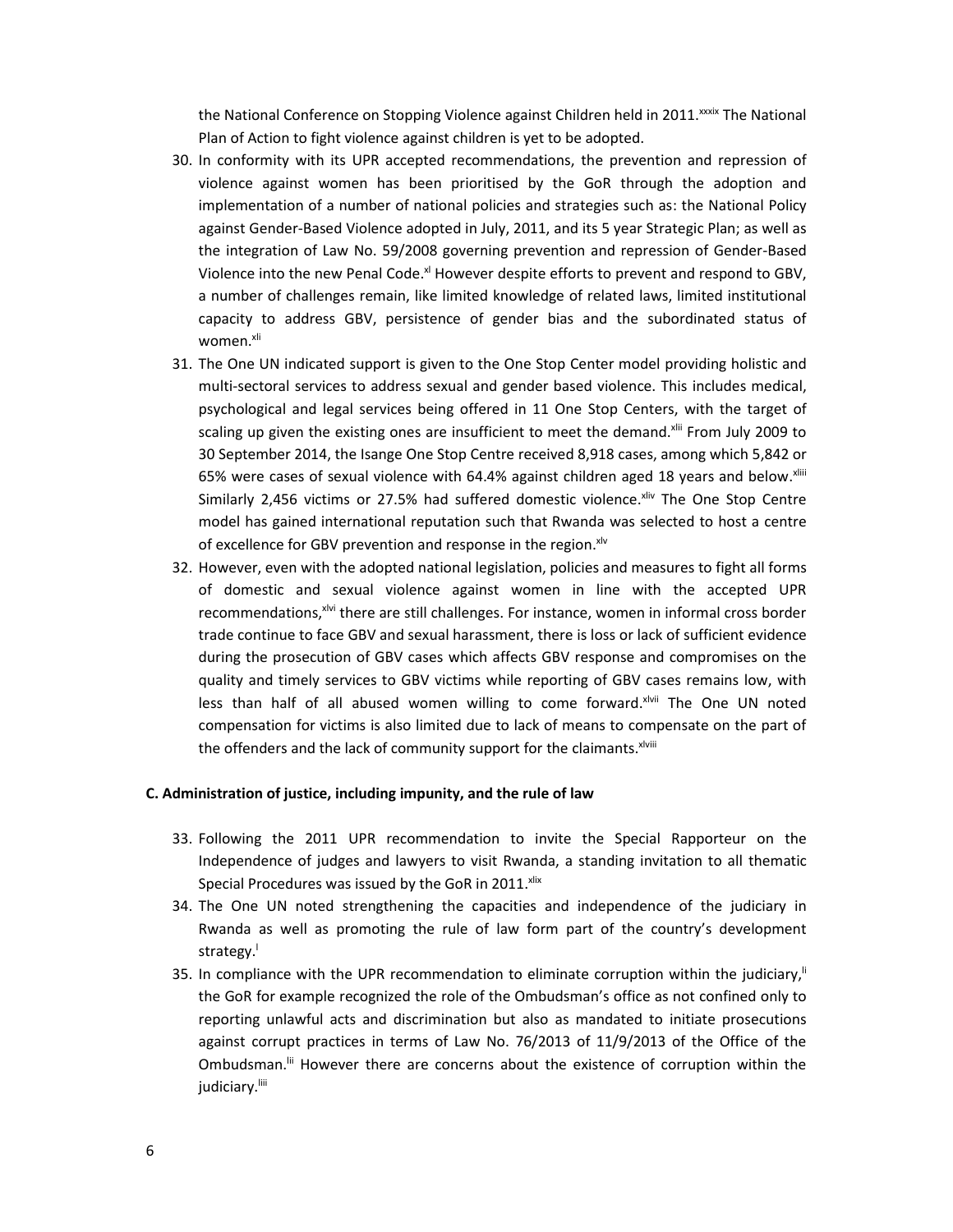the National Conference on Stopping Violence against Children held in 2011.<sup>xxxix</sup> The National Plan of Action to fight violence against children is yet to be adopted.

- 30. In conformity with its UPR accepted recommendations, the prevention and repression of violence against women has been prioritised by the GoR through the adoption and implementation of a number of national policies and strategies such as: the National Policy against Gender-Based Violence adopted in July, 2011, and its 5 year Strategic Plan; as well as the integration of Law No. 59/2008 governing prevention and repression of Gender-Based Violence into the new Penal Code.<sup>xl</sup> However despite efforts to prevent and respond to GBV, a number of challenges remain, like limited knowledge of related laws, limited institutional capacity to address GBV, persistence of gender bias and the subordinated status of women.<sup>xli</sup>
- 31. The One UN indicated support is given to the One Stop Center model providing holistic and multi-sectoral services to address sexual and gender based violence. This includes medical, psychological and legal services being offered in 11 One Stop Centers, with the target of scaling up given the existing ones are insufficient to meet the demand.<sup>xlii</sup> From July 2009 to 30 September 2014, the Isange One Stop Centre received 8,918 cases, among which 5,842 or 65% were cases of sexual violence with 64.4% against children aged 18 years and below.<sup>xliii</sup> Similarly 2,456 victims or 27.5% had suffered domestic violence. Xilv The One Stop Centre model has gained international reputation such that Rwanda was selected to host a centre of excellence for GBV prevention and response in the region. xlv
- 32. However, even with the adopted national legislation, policies and measures to fight all forms of domestic and sexual violence against women in line with the accepted UPR recommendations,<sup>xivi</sup> there are still challenges. For instance, women in informal cross border trade continue to face GBV and sexual harassment, there is loss or lack of sufficient evidence during the prosecution of GBV cases which affects GBV response and compromises on the quality and timely services to GBV victims while reporting of GBV cases remains low, with less than half of all abused women willing to come forward. XIVII The One UN noted compensation for victims is also limited due to lack of means to compensate on the part of the offenders and the lack of community support for the claimants. xlviii

#### **C. Administration of justice, including impunity, and the rule of law**

- 33. Following the 2011 UPR recommendation to invite the Special Rapporteur on the Independence of judges and lawyers to visit Rwanda, a standing invitation to all thematic Special Procedures was issued by the GoR in 2011. Xlix
- 34. The One UN noted strengthening the capacities and independence of the judiciary in Rwanda as well as promoting the rule of law form part of the country's development strategy.
- 35. In compliance with the UPR recommendation to eliminate corruption within the judiciary,<sup>ii</sup> the GoR for example recognized the role of the Ombudsman's office as not confined only to reporting unlawful acts and discrimination but also as mandated to initiate prosecutions against corrupt practices in terms of Law No. 76/2013 of 11/9/2013 of the Office of the Ombudsman.lii However there are concerns about the existence of corruption within the judiciary.<sup>liii</sup>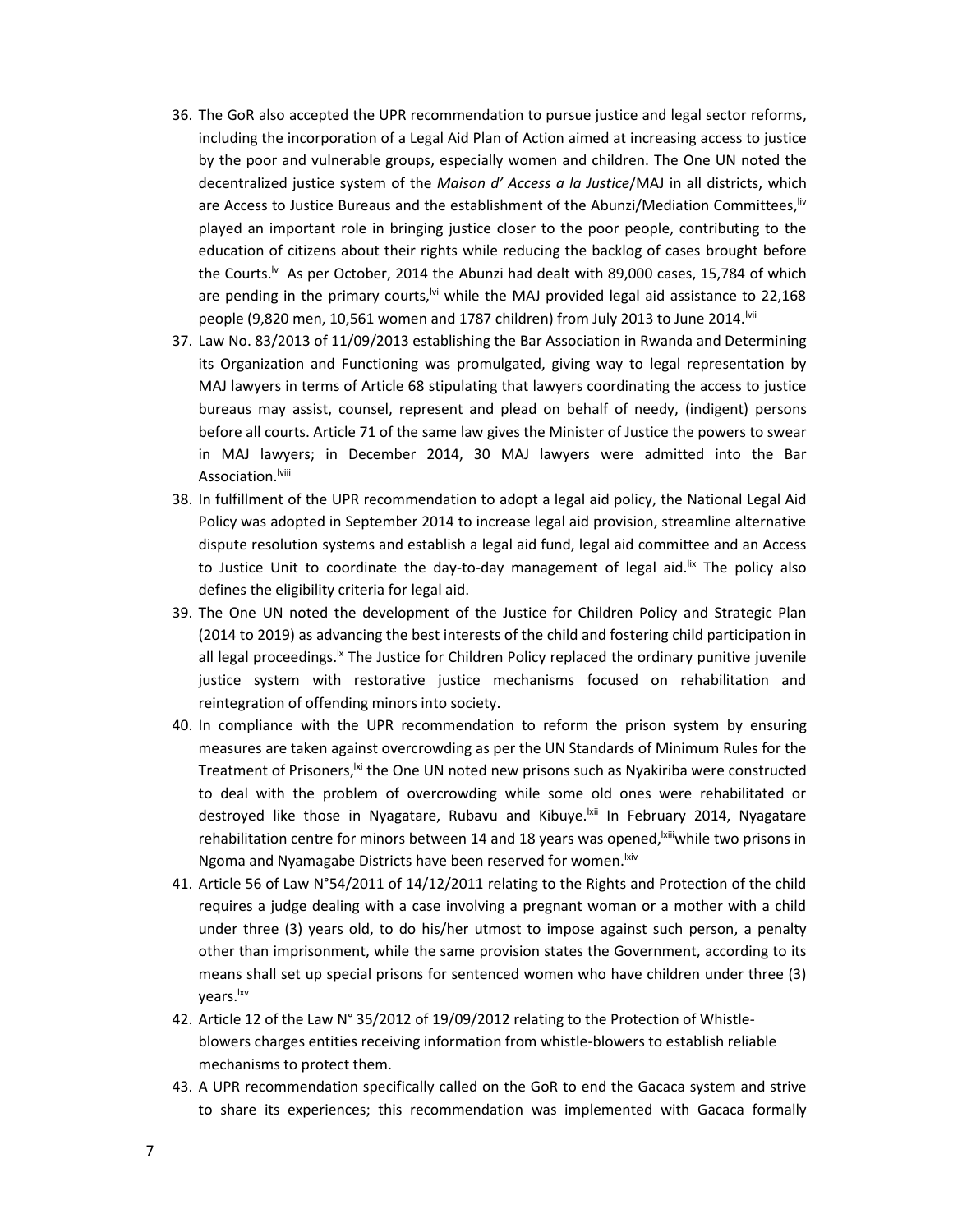- 36. The GoR also accepted the UPR recommendation to pursue justice and legal sector reforms, including the incorporation of a Legal Aid Plan of Action aimed at increasing access to justice by the poor and vulnerable groups, especially women and children. The One UN noted the decentralized justice system of the *Maison d' Access a la Justice*/MAJ in all districts, which are Access to Justice Bureaus and the establishment of the Abunzi/Mediation Committees, <sup>liv</sup> played an important role in bringing justice closer to the poor people, contributing to the education of citizens about their rights while reducing the backlog of cases brought before the Courts.<sup>Iv</sup> As per October, 2014 the Abunzi had dealt with 89,000 cases, 15,784 of which are pending in the primary courts,<sup> $\forall$ i</sup> while the MAJ provided legal aid assistance to 22,168 people (9,820 men, 10,561 women and 1787 children) from July 2013 to June 2014. Mii
- 37. Law No. 83/2013 of 11/09/2013 establishing the Bar Association in Rwanda and Determining its Organization and Functioning was promulgated, giving way to legal representation by MAJ lawyers in terms of Article 68 stipulating that lawyers coordinating the access to justice bureaus may assist, counsel, represent and plead on behalf of needy, (indigent) persons before all courts. Article 71 of the same law gives the Minister of Justice the powers to swear in MAJ lawyers; in December 2014, 30 MAJ lawyers were admitted into the Bar Association.<sup>Iviii</sup>
- 38. In fulfillment of the UPR recommendation to adopt a legal aid policy, the National Legal Aid Policy was adopted in September 2014 to increase legal aid provision, streamline alternative dispute resolution systems and establish a legal aid fund, legal aid committee and an Access to Justice Unit to coordinate the day-to-day management of legal aid.<sup>IIx</sup> The policy also defines the eligibility criteria for legal aid.
- 39. The One UN noted the development of the Justice for Children Policy and Strategic Plan (2014 to 2019) as advancing the best interests of the child and fostering child participation in all legal proceedings.<sup>Ix</sup> The Justice for Children Policy replaced the ordinary punitive juvenile justice system with restorative justice mechanisms focused on rehabilitation and reintegration of offending minors into society.
- 40. In compliance with the UPR recommendation to reform the prison system by ensuring measures are taken against overcrowding as per the UN Standards of Minimum Rules for the Treatment of Prisoners,<sup>|xi</sup> the One UN noted new prisons such as Nyakiriba were constructed to deal with the problem of overcrowding while some old ones were rehabilitated or destroyed like those in Nyagatare, Rubavu and Kibuye.<sup>|Xii</sup> In February 2014, Nyagatare rehabilitation centre for minors between 14 and 18 years was opened, <sup>kiii</sup>while two prisons in Ngoma and Nyamagabe Districts have been reserved for women. Kiv
- 41. Article 56 of Law N°54/2011 of 14/12/2011 relating to the Rights and Protection of the child requires a judge dealing with a case involving a pregnant woman or a mother with a child under three (3) years old, to do his/her utmost to impose against such person, a penalty other than imprisonment, while the same provision states the Government, according to its means shall set up special prisons for sentenced women who have children under three (3) years.lxv
- 42. Article 12 of the Law N° 35/2012 of 19/09/2012 relating to the Protection of Whistleblowers charges entities receiving information from whistle-blowers to establish reliable mechanisms to protect them.
- 43. A UPR recommendation specifically called on the GoR to end the Gacaca system and strive to share its experiences; this recommendation was implemented with Gacaca formally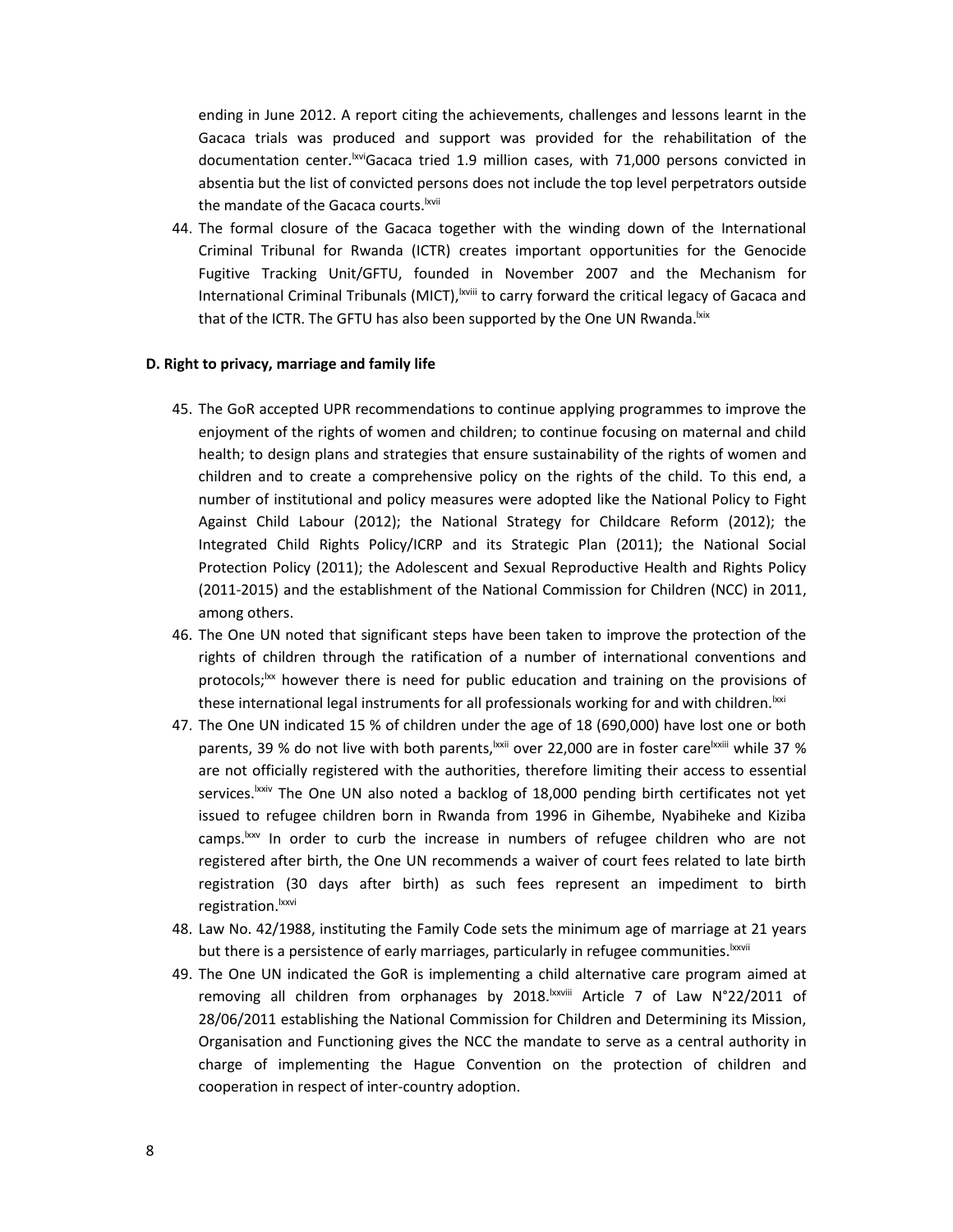ending in June 2012. A report citing the achievements, challenges and lessons learnt in the Gacaca trials was produced and support was provided for the rehabilitation of the documentation center.<sup>Ixvi</sup>Gacaca tried 1.9 million cases, with 71,000 persons convicted in absentia but the list of convicted persons does not include the top level perpetrators outside the mandate of the Gacaca courts.<sup>Ixvii</sup>

44. The formal closure of the Gacaca together with the winding down of the International Criminal Tribunal for Rwanda (ICTR) creates important opportunities for the Genocide Fugitive Tracking Unit/GFTU, founded in November 2007 and the Mechanism for International Criminal Tribunals (MICT), <sup>|xviii</sup> to carry forward the critical legacy of Gacaca and that of the ICTR. The GFTU has also been supported by the One UN Rwanda. Ixix

#### **D. Right to privacy, marriage and family life**

- 45. The GoR accepted UPR recommendations to continue applying programmes to improve the enjoyment of the rights of women and children; to continue focusing on maternal and child health; to design plans and strategies that ensure sustainability of the rights of women and children and to create a comprehensive policy on the rights of the child. To this end, a number of institutional and policy measures were adopted like the National Policy to Fight Against Child Labour (2012); the National Strategy for Childcare Reform (2012); the Integrated Child Rights Policy/ICRP and its Strategic Plan (2011); the National Social Protection Policy (2011); the Adolescent and Sexual Reproductive Health and Rights Policy (2011-2015) and the establishment of the National Commission for Children (NCC) in 2011, among others.
- 46. The One UN noted that significant steps have been taken to improve the protection of the rights of children through the ratification of a number of international conventions and protocols;<sup>1xx</sup> however there is need for public education and training on the provisions of these international legal instruments for all professionals working for and with children. Ixxi
- 47. The One UN indicated 15 % of children under the age of 18 (690,000) have lost one or both parents, 39 % do not live with both parents,<sup>Ixxii</sup> over 22,000 are in foster care<sup>lxxiii</sup> while 37 % are not officially registered with the authorities, therefore limiting their access to essential services.<sup>Ixxiv</sup> The One UN also noted a backlog of 18,000 pending birth certificates not yet issued to refugee children born in Rwanda from 1996 in Gihembe, Nyabiheke and Kiziba camps.<sup>Ixxv</sup> In order to curb the increase in numbers of refugee children who are not registered after birth, the One UN recommends a waiver of court fees related to late birth registration (30 days after birth) as such fees represent an impediment to birth registration.<sup>Ixxvi</sup>
- 48. Law No. 42/1988, instituting the Family Code sets the minimum age of marriage at 21 years but there is a persistence of early marriages, particularly in refugee communities. Ixxvii
- 49. The One UN indicated the GoR is implementing a child alternative care program aimed at removing all children from orphanages by 2018.<sup>Ixxviii</sup> Article 7 of Law N°22/2011 of 28/06/2011 establishing the National Commission for Children and Determining its Mission, Organisation and Functioning gives the NCC the mandate to serve as a central authority in charge of implementing the Hague Convention on the protection of children and cooperation in respect of inter-country adoption.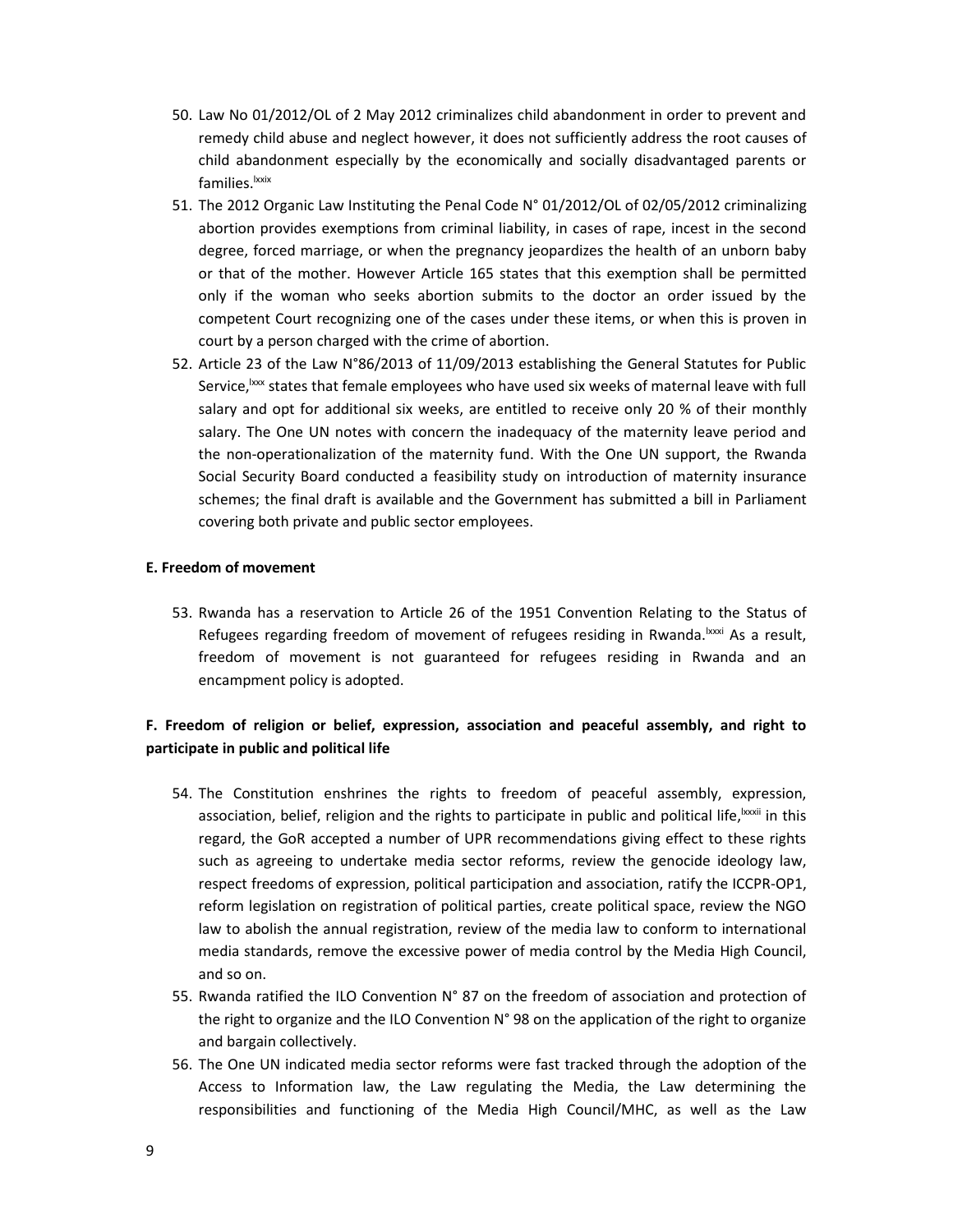- 50. Law No 01/2012/OL of 2 May 2012 criminalizes child abandonment in order to prevent and remedy child abuse and neglect however, it does not sufficiently address the root causes of child abandonment especially by the economically and socially disadvantaged parents or families.<sup>Ixxix</sup>
- 51. The 2012 Organic Law Instituting the Penal Code N° 01/2012/OL of 02/05/2012 criminalizing abortion provides exemptions from criminal liability, in cases of rape, incest in the second degree, forced marriage, or when the pregnancy jeopardizes the health of an unborn baby or that of the mother. However Article 165 states that this exemption shall be permitted only if the woman who seeks abortion submits to the doctor an order issued by the competent Court recognizing one of the cases under these items, or when this is proven in court by a person charged with the crime of abortion.
- 52. Article 23 of the Law N°86/2013 of 11/09/2013 establishing the General Statutes for Public Service,  $\frac{1}{x}$  states that female employees who have used six weeks of maternal leave with full salary and opt for additional six weeks, are entitled to receive only 20 % of their monthly salary. The One UN notes with concern the inadequacy of the maternity leave period and the non-operationalization of the maternity fund. With the One UN support, the Rwanda Social Security Board conducted a feasibility study on introduction of maternity insurance schemes; the final draft is available and the Government has submitted a bill in Parliament covering both private and public sector employees.

## **E. Freedom of movement**

53. Rwanda has a reservation to Article 26 of the 1951 Convention Relating to the Status of Refugees regarding freedom of movement of refugees residing in Rwanda.<sup>Ixxxi</sup> As a result. freedom of movement is not guaranteed for refugees residing in Rwanda and an encampment policy is adopted.

## **F. Freedom of religion or belief, expression, association and peaceful assembly, and right to participate in public and political life**

- 54. The Constitution enshrines the rights to freedom of peaceful assembly, expression, association, belief, religion and the rights to participate in public and political life, bxxxii in this regard, the GoR accepted a number of UPR recommendations giving effect to these rights such as agreeing to undertake media sector reforms, review the genocide ideology law, respect freedoms of expression, political participation and association, ratify the ICCPR-OP1, reform legislation on registration of political parties, create political space, review the NGO law to abolish the annual registration, review of the media law to conform to international media standards, remove the excessive power of media control by the Media High Council, and so on.
- 55. Rwanda ratified the ILO Convention N° 87 on the freedom of association and protection of the right to organize and the ILO Convention N° 98 on the application of the right to organize and bargain collectively.
- 56. The One UN indicated media sector reforms were fast tracked through the adoption of the Access to Information law, the Law regulating the Media, the Law determining the responsibilities and functioning of the Media High Council/MHC, as well as the Law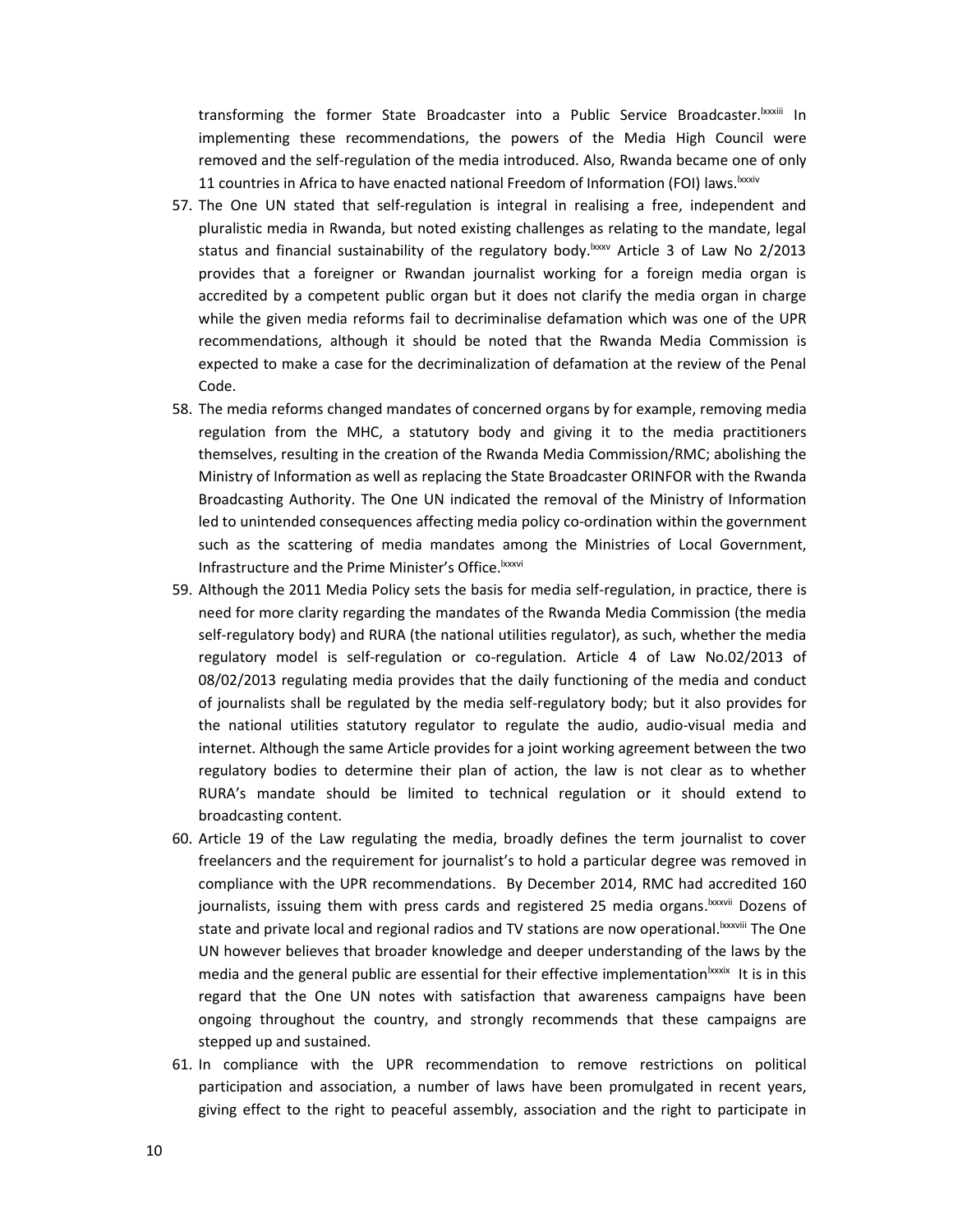transforming the former State Broadcaster into a Public Service Broadcaster.lxxxiii In implementing these recommendations, the powers of the Media High Council were removed and the self-regulation of the media introduced. Also, Rwanda became one of only 11 countries in Africa to have enacted national Freedom of Information (FOI) laws.<sup>|xxxiv</sup>

- 57. The One UN stated that self-regulation is integral in realising a free, independent and pluralistic media in Rwanda, but noted existing challenges as relating to the mandate, legal status and financial sustainability of the regulatory body.<sup>bxxv</sup> Article 3 of Law No 2/2013 provides that a foreigner or Rwandan journalist working for a foreign media organ is accredited by a competent public organ but it does not clarify the media organ in charge while the given media reforms fail to decriminalise defamation which was one of the UPR recommendations, although it should be noted that the Rwanda Media Commission is expected to make a case for the decriminalization of defamation at the review of the Penal Code.
- 58. The media reforms changed mandates of concerned organs by for example, removing media regulation from the MHC, a statutory body and giving it to the media practitioners themselves, resulting in the creation of the Rwanda Media Commission/RMC; abolishing the Ministry of Information as well as replacing the State Broadcaster ORINFOR with the Rwanda Broadcasting Authority. The One UN indicated the removal of the Ministry of Information led to unintended consequences affecting media policy co-ordination within the government such as the scattering of media mandates among the Ministries of Local Government, Infrastructure and the Prime Minister's Office.<sup>Ixxxvi</sup>
- 59. Although the 2011 Media Policy sets the basis for media self-regulation, in practice, there is need for more clarity regarding the mandates of the Rwanda Media Commission (the media self-regulatory body) and RURA (the national utilities regulator), as such, whether the media regulatory model is self-regulation or co-regulation. Article 4 of Law No.02/2013 of 08/02/2013 regulating media provides that the daily functioning of the media and conduct of journalists shall be regulated by the media self-regulatory body; but it also provides for the national utilities statutory regulator to regulate the audio, audio-visual media and internet. Although the same Article provides for a joint working agreement between the two regulatory bodies to determine their plan of action, the law is not clear as to whether RURA's mandate should be limited to technical regulation or it should extend to broadcasting content.
- 60. Article 19 of the Law regulating the media, broadly defines the term journalist to cover freelancers and the requirement for journalist's to hold a particular degree was removed in compliance with the UPR recommendations. By December 2014, RMC had accredited 160 journalists, issuing them with press cards and registered 25 media organs.<sup>kxxvii</sup> Dozens of state and private local and regional radios and TV stations are now operational.<sup>Ixxxviii</sup> The One UN however believes that broader knowledge and deeper understanding of the laws by the media and the general public are essential for their effective implementation $|x\rangle$ xxix It is in this regard that the One UN notes with satisfaction that awareness campaigns have been ongoing throughout the country, and strongly recommends that these campaigns are stepped up and sustained.
- 61. In compliance with the UPR recommendation to remove restrictions on political participation and association, a number of laws have been promulgated in recent years, giving effect to the right to peaceful assembly, association and the right to participate in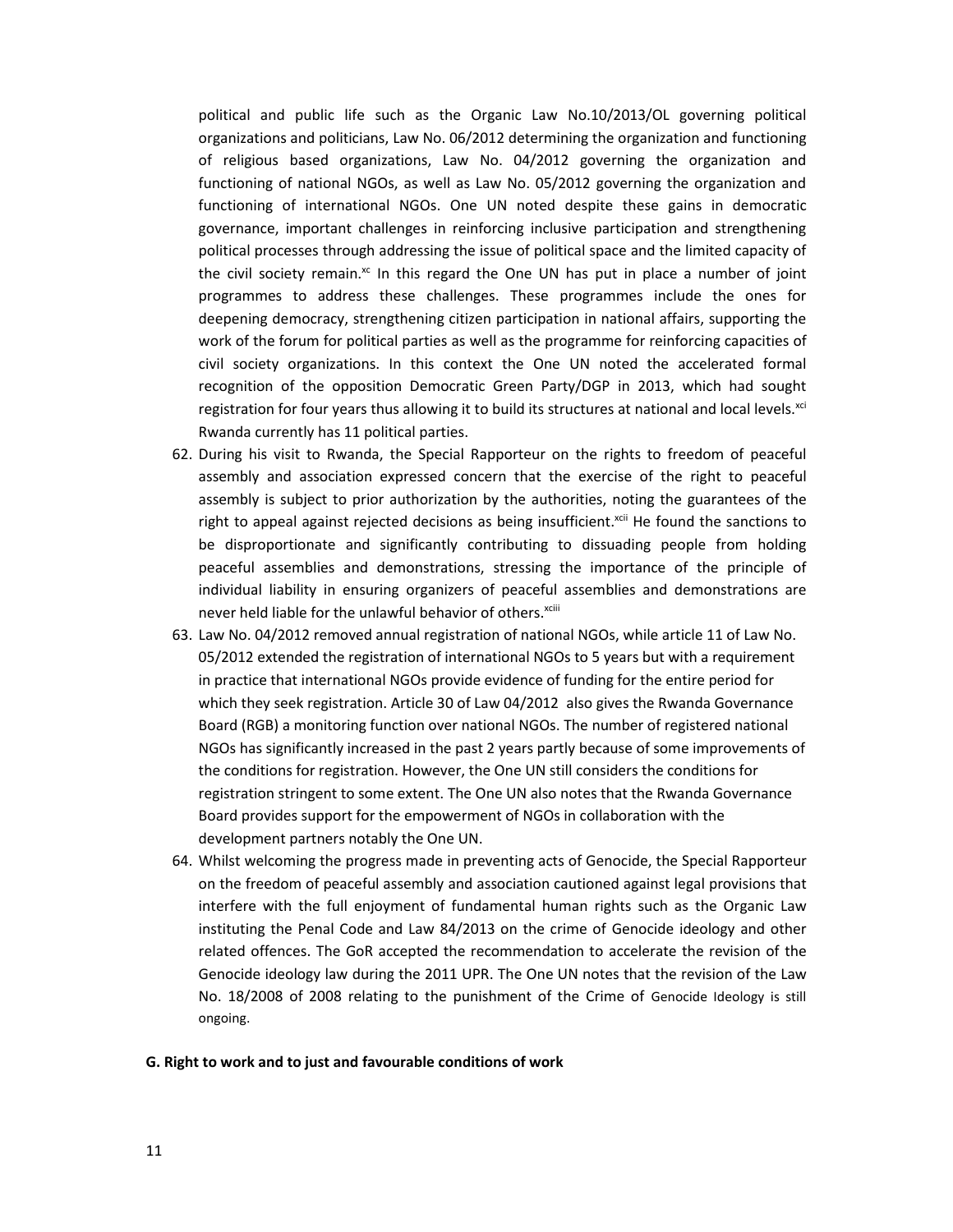political and public life such as the Organic Law No.10/2013/OL governing political organizations and politicians, Law No. 06/2012 determining the organization and functioning of religious based organizations, Law No. 04/2012 governing the organization and functioning of national NGOs, as well as Law No. 05/2012 governing the organization and functioning of international NGOs. One UN noted despite these gains in democratic governance, important challenges in reinforcing inclusive participation and strengthening political processes through addressing the issue of political space and the limited capacity of the civil society remain. $x<sup>c</sup>$  In this regard the One UN has put in place a number of joint programmes to address these challenges. These programmes include the ones for deepening democracy, strengthening citizen participation in national affairs, supporting the work of the forum for political parties as well as the programme for reinforcing capacities of civil society organizations. In this context the One UN noted the accelerated formal recognition of the opposition Democratic Green Party/DGP in 2013, which had sought registration for four years thus allowing it to build its structures at national and local levels.<sup>xci</sup> Rwanda currently has 11 political parties.

- 62. During his visit to Rwanda, the Special Rapporteur on the rights to freedom of peaceful assembly and association expressed concern that the exercise of the right to peaceful assembly is subject to prior authorization by the authorities, noting the guarantees of the right to appeal against rejected decisions as being insufficient.<sup>xcii</sup> He found the sanctions to be disproportionate and significantly contributing to dissuading people from holding peaceful assemblies and demonstrations, stressing the importance of the principle of individual liability in ensuring organizers of peaceful assemblies and demonstrations are never held liable for the unlawful behavior of others. xciii
- 63. Law No. 04/2012 removed annual registration of national NGOs, while article 11 of Law No. 05/2012 extended the registration of international NGOs to 5 years but with a requirement in practice that international NGOs provide evidence of funding for the entire period for which they seek registration. Article 30 of Law 04/2012 also gives the Rwanda Governance Board (RGB) a monitoring function over national NGOs. The number of registered national NGOs has significantly increased in the past 2 years partly because of some improvements of the conditions for registration. However, the One UN still considers the conditions for registration stringent to some extent. The One UN also notes that the Rwanda Governance Board provides support for the empowerment of NGOs in collaboration with the development partners notably the One UN.
- 64. Whilst welcoming the progress made in preventing acts of Genocide, the Special Rapporteur on the freedom of peaceful assembly and association cautioned against legal provisions that interfere with the full enjoyment of fundamental human rights such as the Organic Law instituting the Penal Code and Law 84/2013 on the crime of Genocide ideology and other related offences. The GoR accepted the recommendation to accelerate the revision of the Genocide ideology law during the 2011 UPR. The One UN notes that the revision of the Law No. 18/2008 of 2008 relating to the punishment of the Crime of Genocide Ideology is still ongoing.

#### **G. Right to work and to just and favourable conditions of work**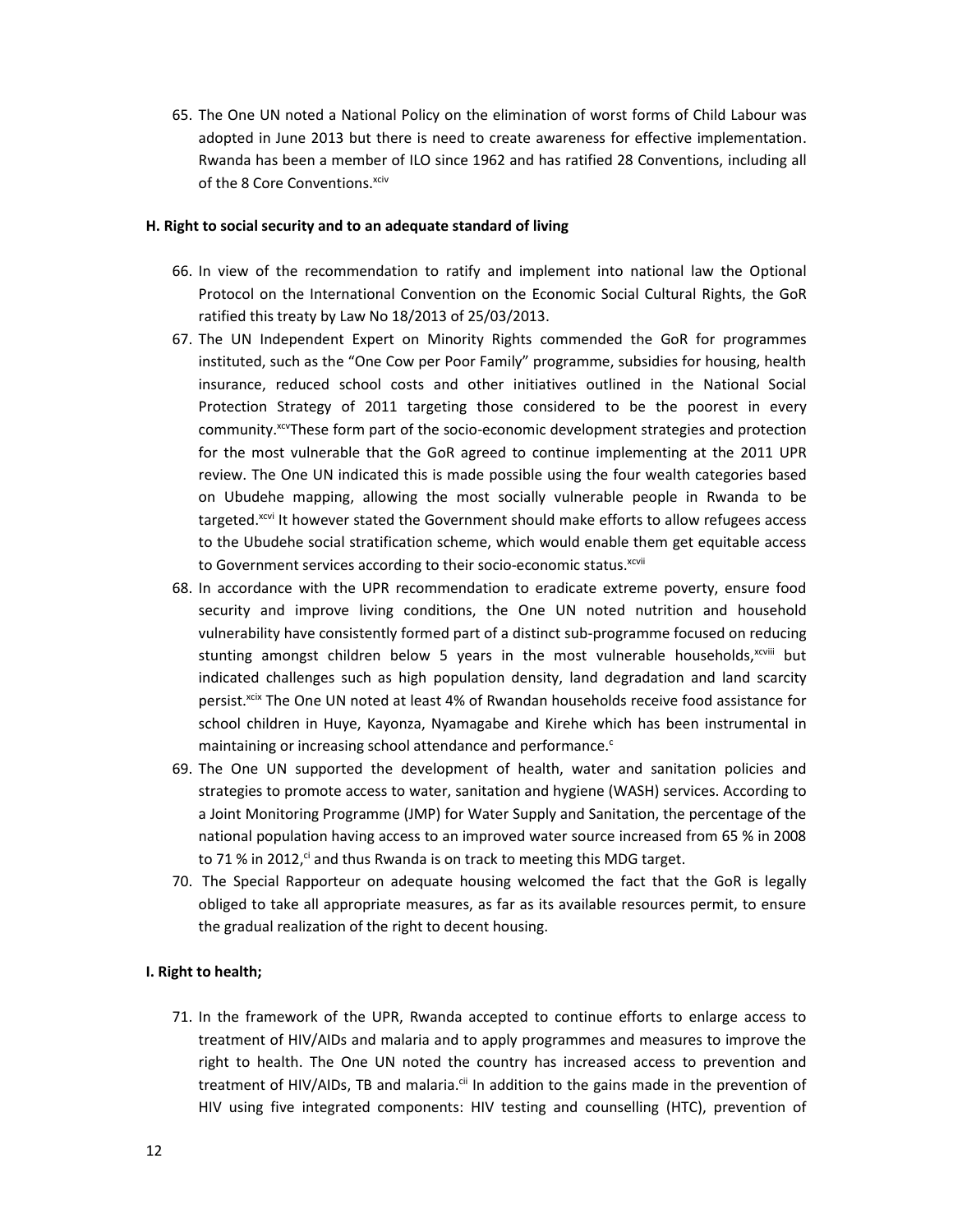65. The One UN noted a National Policy on the elimination of worst forms of Child Labour was adopted in June 2013 but there is need to create awareness for effective implementation. Rwanda has been a member of ILO since 1962 and has ratified 28 Conventions, including all of the 8 Core Conventions.<sup>xciv</sup>

#### **H. Right to social security and to an adequate standard of living**

- 66. In view of the recommendation to ratify and implement into national law the Optional Protocol on the International Convention on the Economic Social Cultural Rights, the GoR ratified this treaty by Law No 18/2013 of 25/03/2013.
- 67. The UN Independent Expert on Minority Rights commended the GoR for programmes instituted, such as the "One Cow per Poor Family" programme, subsidies for housing, health insurance, reduced school costs and other initiatives outlined in the National Social Protection Strategy of 2011 targeting those considered to be the poorest in every community. <sup>xcv</sup>These form part of the socio-economic development strategies and protection for the most vulnerable that the GoR agreed to continue implementing at the 2011 UPR review. The One UN indicated this is made possible using the four wealth categories based on Ubudehe mapping, allowing the most socially vulnerable people in Rwanda to be targeted.<sup>xcvi</sup> It however stated the Government should make efforts to allow refugees access to the Ubudehe social stratification scheme, which would enable them get equitable access to Government services according to their socio-economic status. XCVII
- 68. In accordance with the UPR recommendation to eradicate extreme poverty, ensure food security and improve living conditions, the One UN noted nutrition and household vulnerability have consistently formed part of a distinct sub-programme focused on reducing stunting amongst children below 5 years in the most vulnerable households, $x_{\text{c}}$  but indicated challenges such as high population density, land degradation and land scarcity persist.<sup>xcix</sup> The One UN noted at least 4% of Rwandan households receive food assistance for school children in Huye, Kayonza, Nyamagabe and Kirehe which has been instrumental in maintaining or increasing school attendance and performance.<sup>c</sup>
- 69. The One UN supported the development of health, water and sanitation policies and strategies to promote access to water, sanitation and hygiene (WASH) services. According to a Joint Monitoring Programme (JMP) for Water Supply and Sanitation, the percentage of the national population having access to an improved water source increased from 65 % in 2008 to 71 % in 2012,<sup>ci</sup> and thus Rwanda is on track to meeting this MDG target.
- 70. The Special Rapporteur on adequate housing welcomed the fact that the GoR is legally obliged to take all appropriate measures, as far as its available resources permit, to ensure the gradual realization of the right to decent housing.

## **I. Right to health;**

71. In the framework of the UPR, Rwanda accepted to continue efforts to enlarge access to treatment of HIV/AIDs and malaria and to apply programmes and measures to improve the right to health. The One UN noted the country has increased access to prevention and treatment of HIV/AIDs, TB and malaria.<sup>cii</sup> In addition to the gains made in the prevention of HIV using five integrated components: HIV testing and counselling (HTC), prevention of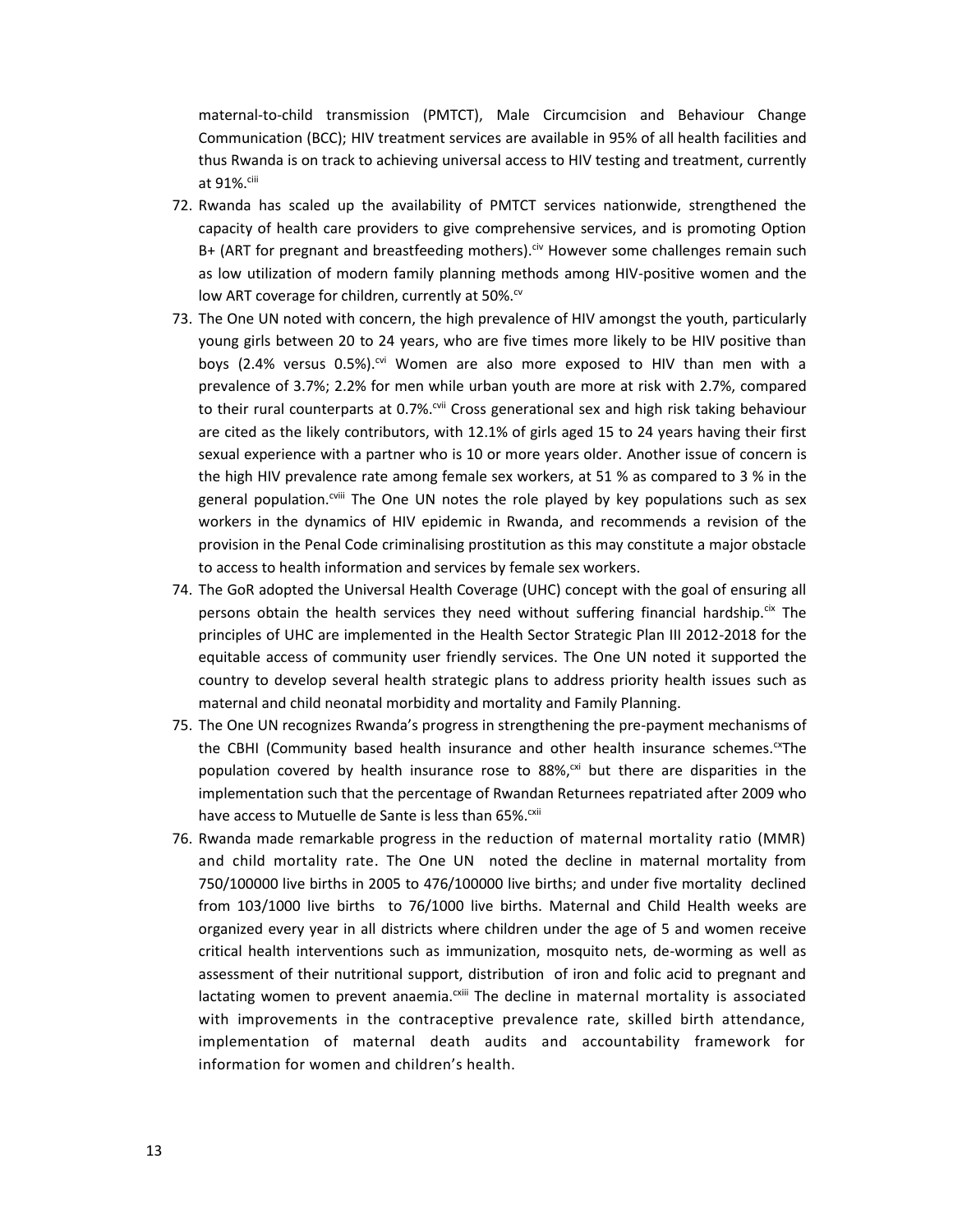maternal-to-child transmission (PMTCT), Male Circumcision and Behaviour Change Communication (BCC); HIV treatment services are available in 95% of all health facilities and thus Rwanda is on track to achieving universal access to HIV testing and treatment, currently at 91%.<sup>ciii</sup>

- 72. Rwanda has scaled up the availability of PMTCT services nationwide, strengthened the capacity of health care providers to give comprehensive services, and is promoting Option B+ (ART for pregnant and breastfeeding mothers).<sup>civ</sup> However some challenges remain such as low utilization of modern family planning methods among HIV-positive women and the low ART coverage for children, currently at 50%.<sup>cv</sup>
- 73. The One UN noted with concern, the high prevalence of HIV amongst the youth, particularly young girls between 20 to 24 years, who are five times more likely to be HIV positive than boys (2.4% versus 0.5%).<sup>cvi</sup> Women are also more exposed to HIV than men with a prevalence of 3.7%; 2.2% for men while urban youth are more at risk with 2.7%, compared to their rural counterparts at 0.7%.<sup>cvii</sup> Cross generational sex and high risk taking behaviour are cited as the likely contributors, with 12.1% of girls aged 15 to 24 years having their first sexual experience with a partner who is 10 or more years older. Another issue of concern is the high HIV prevalence rate among female sex workers, at 51 % as compared to 3 % in the general population.<sup>cviii</sup> The One UN notes the role played by key populations such as sex workers in the dynamics of HIV epidemic in Rwanda, and recommends a revision of the provision in the Penal Code criminalising prostitution as this may constitute a major obstacle to access to health information and services by female sex workers.
- 74. The GoR adopted the Universal Health Coverage (UHC) concept with the goal of ensuring all persons obtain the health services they need without suffering financial hardship.<sup>cix</sup> The principles of UHC are implemented in the Health Sector Strategic Plan III 2012-2018 for the equitable access of community user friendly services. The One UN noted it supported the country to develop several health strategic plans to address priority health issues such as maternal and child neonatal morbidity and mortality and Family Planning.
- 75. The One UN recognizes Rwanda's progress in strengthening the pre-payment mechanisms of the CBHI (Community based health insurance and other health insurance schemes. $\alpha$ The population covered by health insurance rose to 88%,<sup>cxi</sup> but there are disparities in the implementation such that the percentage of Rwandan Returnees repatriated after 2009 who have access to Mutuelle de Sante is less than 65%.<sup>cxii</sup>
- 76. Rwanda made remarkable progress in the reduction of maternal mortality ratio (MMR) and child mortality rate. The One UN noted the decline in maternal mortality from 750/100000 live births in 2005 to 476/100000 live births; and under five mortality declined from 103/1000 live births to 76/1000 live births. Maternal and Child Health weeks are organized every year in all districts where children under the age of 5 and women receive critical health interventions such as immunization, mosquito nets, de-worming as well as assessment of their nutritional support, distribution of iron and folic acid to pregnant and lactating women to prevent anaemia. $c$ <sup>xiii</sup> The decline in maternal mortality is associated with improvements in the contraceptive prevalence rate, skilled birth attendance, implementation of maternal death audits and accountability framework for information for women and children's health.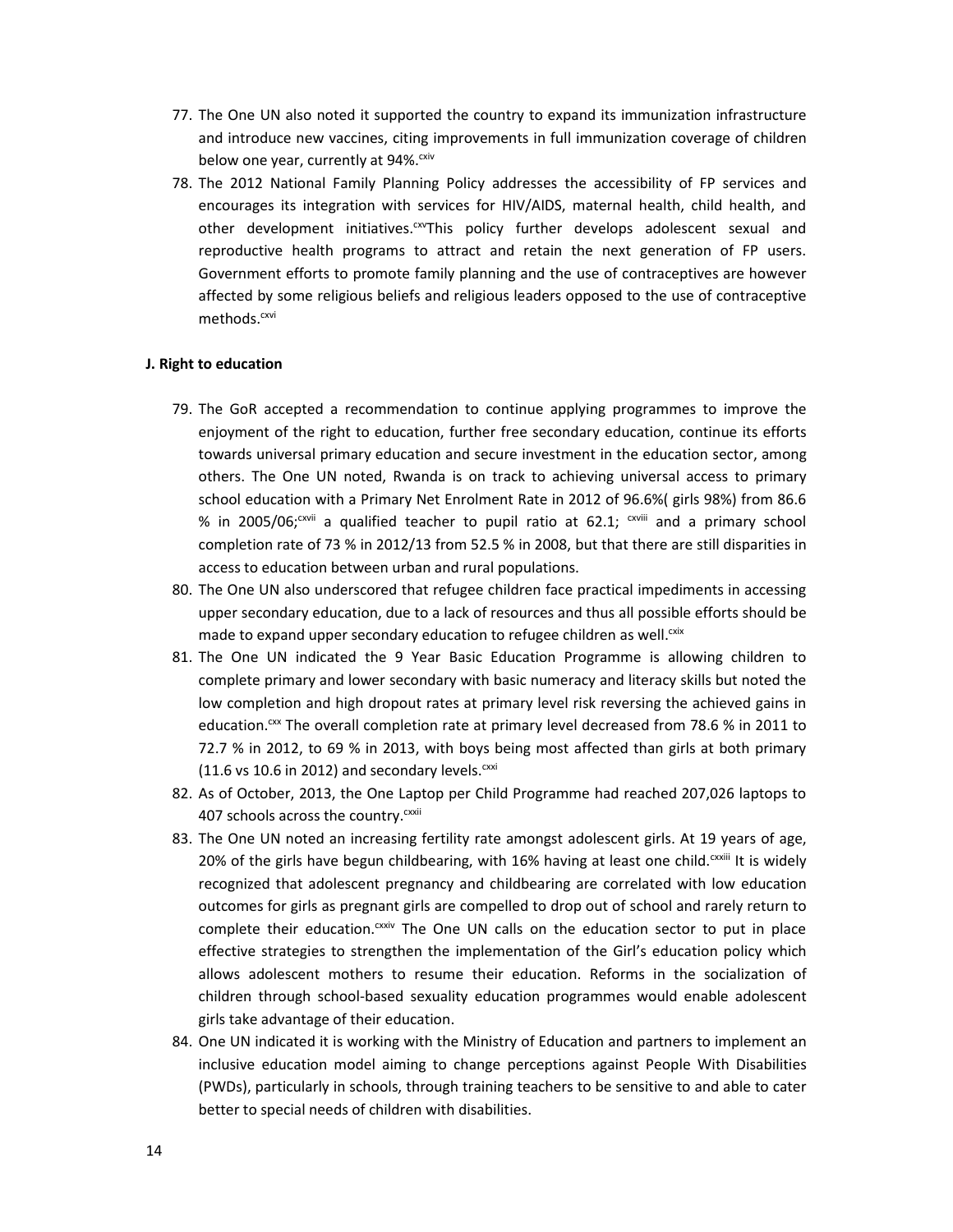- 77. The One UN also noted it supported the country to expand its immunization infrastructure and introduce new vaccines, citing improvements in full immunization coverage of children below one year, currently at 94%.<sup>cxiv</sup>
- 78. The 2012 National Family Planning Policy addresses the accessibility of FP services and encourages its integration with services for HIV/AIDS, maternal health, child health, and other development initiatives.<sup>cxv</sup>This policy further develops adolescent sexual and reproductive health programs to attract and retain the next generation of FP users. Government efforts to promote family planning and the use of contraceptives are however affected by some religious beliefs and religious leaders opposed to the use of contraceptive methods.<sup>cxvi</sup>

## **J. Right to education**

- 79. The GoR accepted a recommendation to continue applying programmes to improve the enjoyment of the right to education, further free secondary education, continue its efforts towards universal primary education and secure investment in the education sector, among others. The One UN noted, Rwanda is on track to achieving universal access to primary school education with a Primary Net Enrolment Rate in 2012 of 96.6%( girls 98%) from 86.6 % in 2005/06;<sup>cxvii</sup> a qualified teacher to pupil ratio at 62.1; <sup>cxviii</sup> and a primary school completion rate of 73 % in 2012/13 from 52.5 % in 2008, but that there are still disparities in access to education between urban and rural populations.
- 80. The One UN also underscored that refugee children face practical impediments in accessing upper secondary education, due to a lack of resources and thus all possible efforts should be made to expand upper secondary education to refugee children as well.<sup>cxix</sup>
- 81. The One UN indicated the 9 Year Basic Education Programme is allowing children to complete primary and lower secondary with basic numeracy and literacy skills but noted the low completion and high dropout rates at primary level risk reversing the achieved gains in education.<sup>cxx</sup> The overall completion rate at primary level decreased from 78.6 % in 2011 to 72.7 % in 2012, to 69 % in 2013, with boys being most affected than girls at both primary (11.6 vs 10.6 in 2012) and secondary levels. $cxx$ i
- 82. As of October, 2013, the One Laptop per Child Programme had reached 207,026 laptops to 407 schools across the country. CXXII
- 83. The One UN noted an increasing fertility rate amongst adolescent girls. At 19 years of age, 20% of the girls have begun childbearing, with 16% having at least one child.<sup>cxxiii</sup> It is widely recognized that adolescent pregnancy and childbearing are correlated with low education outcomes for girls as pregnant girls are compelled to drop out of school and rarely return to complete their education. $\alpha$ <sup>xxiv</sup> The One UN calls on the education sector to put in place effective strategies to strengthen the implementation of the Girl's education policy which allows adolescent mothers to resume their education. Reforms in the socialization of children through school-based sexuality education programmes would enable adolescent girls take advantage of their education.
- 84. One UN indicated it is working with the Ministry of Education and partners to implement an inclusive education model aiming to change perceptions against People With Disabilities (PWDs), particularly in schools, through training teachers to be sensitive to and able to cater better to special needs of children with disabilities.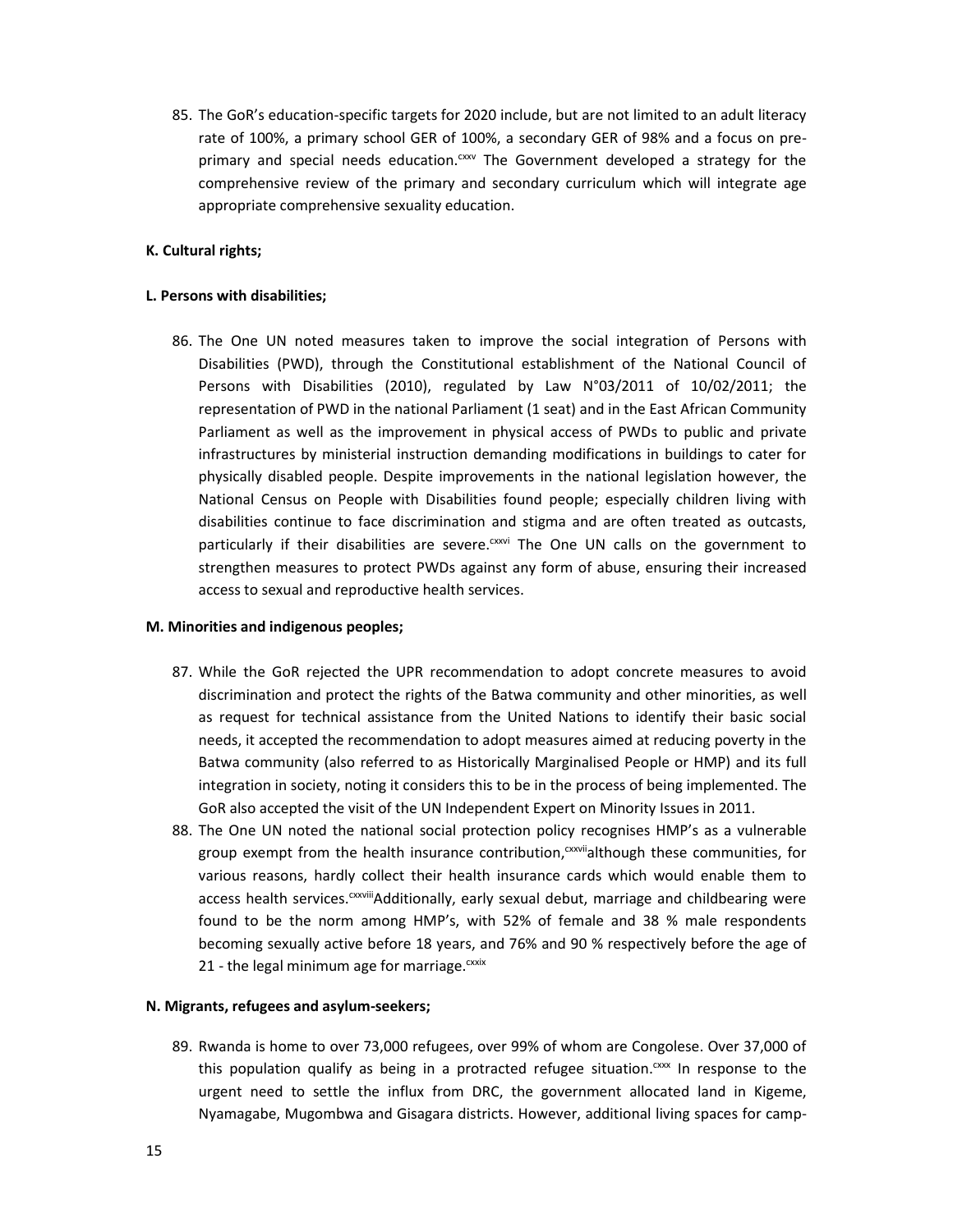85. The GoR's education-specific targets for 2020 include, but are not limited to an adult literacy rate of 100%, a primary school GER of 100%, a secondary GER of 98% and a focus on preprimary and special needs education.<sup>cxxv</sup> The Government developed a strategy for the comprehensive review of the primary and secondary curriculum which will integrate age appropriate comprehensive sexuality education.

## **K. Cultural rights;**

## **L. Persons with disabilities;**

86. The One UN noted measures taken to improve the social integration of Persons with Disabilities (PWD), through the Constitutional establishment of the National Council of Persons with Disabilities (2010), regulated by Law N°03/2011 of 10/02/2011; the representation of PWD in the national Parliament (1 seat) and in the East African Community Parliament as well as the improvement in physical access of PWDs to public and private infrastructures by ministerial instruction demanding modifications in buildings to cater for physically disabled people. Despite improvements in the national legislation however, the National Census on People with Disabilities found people; especially children living with disabilities continue to face discrimination and stigma and are often treated as outcasts, particularly if their disabilities are severe.<sup>cxxvi</sup> The One UN calls on the government to strengthen measures to protect PWDs against any form of abuse, ensuring their increased access to sexual and reproductive health services.

## **M. Minorities and indigenous peoples;**

- 87. While the GoR rejected the UPR recommendation to adopt concrete measures to avoid discrimination and protect the rights of the Batwa community and other minorities, as well as request for technical assistance from the United Nations to identify their basic social needs, it accepted the recommendation to adopt measures aimed at reducing poverty in the Batwa community (also referred to as Historically Marginalised People or HMP) and its full integration in society, noting it considers this to be in the process of being implemented. The GoR also accepted the visit of the UN Independent Expert on Minority Issues in 2011.
- 88. The One UN noted the national social protection policy recognises HMP's as a vulnerable group exempt from the health insurance contribution, cxxviialthough these communities, for various reasons, hardly collect their health insurance cards which would enable them to access health services.<sup>cxxviii</sup>Additionally, early sexual debut, marriage and childbearing were found to be the norm among HMP's, with 52% of female and 38 % male respondents becoming sexually active before 18 years, and 76% and 90 % respectively before the age of 21 - the legal minimum age for marriage.<sup>cxxix</sup>

## **N. Migrants, refugees and asylum-seekers;**

89. Rwanda is home to over 73,000 refugees, over 99% of whom are Congolese. Over 37,000 of this population qualify as being in a protracted refugee situation.<sup>cxx</sup> In response to the urgent need to settle the influx from DRC, the government allocated land in Kigeme, Nyamagabe, Mugombwa and Gisagara districts. However, additional living spaces for camp-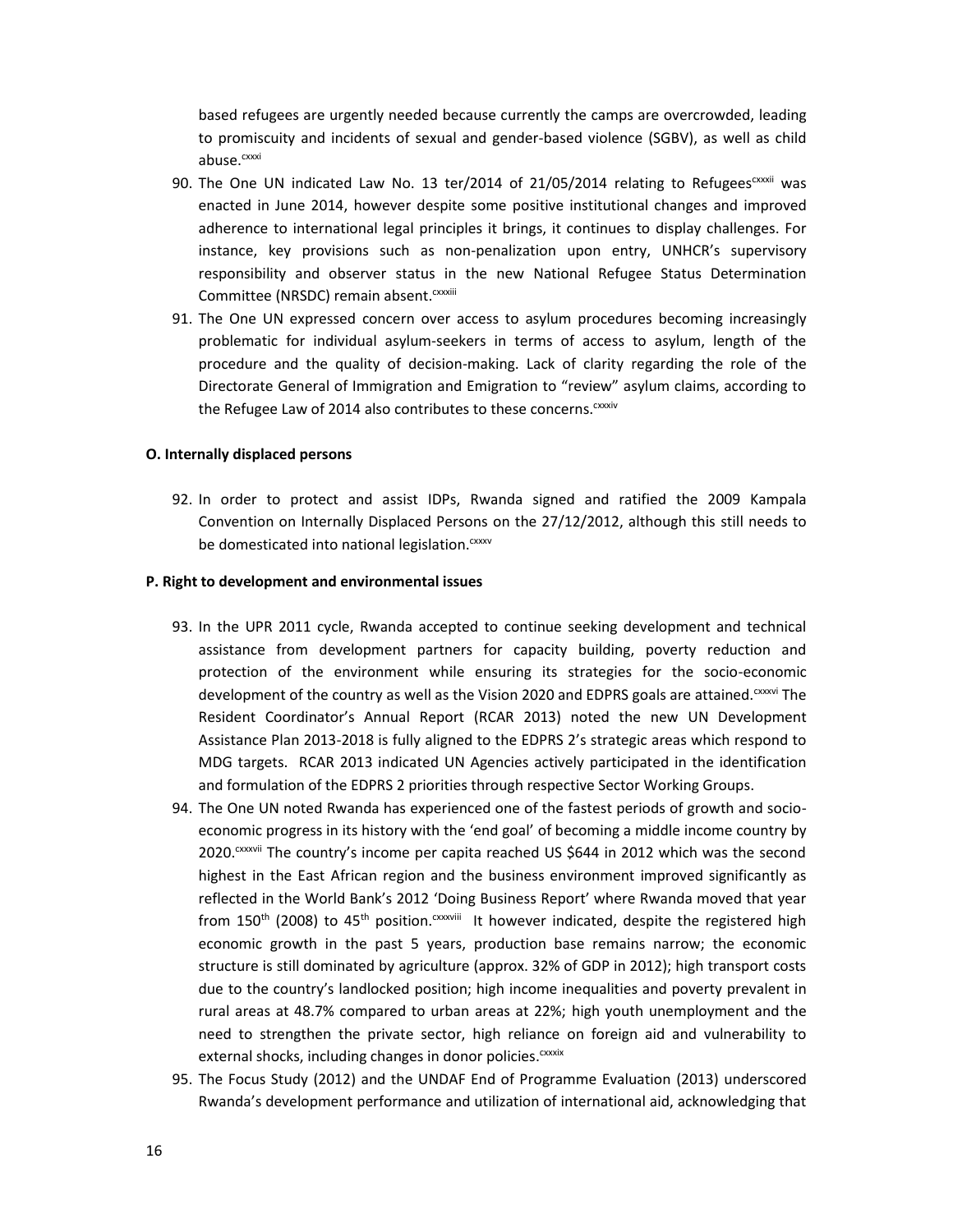based refugees are urgently needed because currently the camps are overcrowded, leading to promiscuity and incidents of sexual and gender-based violence (SGBV), as well as child abuse.<sup>cxxxi</sup>

- 90. The One UN indicated Law No. 13 ter/2014 of 21/05/2014 relating to Refugees<sup>cxxii</sup> was enacted in June 2014, however despite some positive institutional changes and improved adherence to international legal principles it brings, it continues to display challenges. For instance, key provisions such as non-penalization upon entry, UNHCR's supervisory responsibility and observer status in the new National Refugee Status Determination Committee (NRSDC) remain absent.<sup>cxxxiii</sup>
- 91. The One UN expressed concern over access to asylum procedures becoming increasingly problematic for individual asylum-seekers in terms of access to asylum, length of the procedure and the quality of decision-making. Lack of clarity regarding the role of the Directorate General of Immigration and Emigration to "review" asylum claims, according to the Refugee Law of 2014 also contributes to these concerns.<sup>CXXXiv</sup>

#### **O. Internally displaced persons**

92. In order to protect and assist IDPs, Rwanda signed and ratified the 2009 Kampala Convention on Internally Displaced Persons on the 27/12/2012, although this still needs to be domesticated into national legislation.<sup>cxxxv</sup>

## **P. Right to development and environmental issues**

- 93. In the UPR 2011 cycle, Rwanda accepted to continue seeking development and technical assistance from development partners for capacity building, poverty reduction and protection of the environment while ensuring its strategies for the socio-economic development of the country as well as the Vision 2020 and EDPRS goals are attained.<sup>cxxvi</sup> The Resident Coordinator's Annual Report (RCAR 2013) noted the new UN Development Assistance Plan 2013-2018 is fully aligned to the EDPRS 2's strategic areas which respond to MDG targets. RCAR 2013 indicated UN Agencies actively participated in the identification and formulation of the EDPRS 2 priorities through respective Sector Working Groups.
- 94. The One UN noted Rwanda has experienced one of the fastest periods of growth and socioeconomic progress in its history with the 'end goal' of becoming a middle income country by  $2020$ .<sup>cxxvii</sup> The country's income per capita reached US \$644 in 2012 which was the second highest in the East African region and the business environment improved significantly as reflected in the World Bank's 2012 'Doing Business Report' where Rwanda moved that year from 150<sup>th</sup> (2008) to 45<sup>th</sup> position.<sup>cxxviii</sup> It however indicated, despite the registered high economic growth in the past 5 years, production base remains narrow; the economic structure is still dominated by agriculture (approx. 32% of GDP in 2012); high transport costs due to the country's landlocked position; high income inequalities and poverty prevalent in rural areas at 48.7% compared to urban areas at 22%; high youth unemployment and the need to strengthen the private sector, high reliance on foreign aid and vulnerability to external shocks, including changes in donor policies.<sup>cxxxix</sup>
- 95. The Focus Study (2012) and the UNDAF End of Programme Evaluation (2013) underscored Rwanda's development performance and utilization of international aid, acknowledging that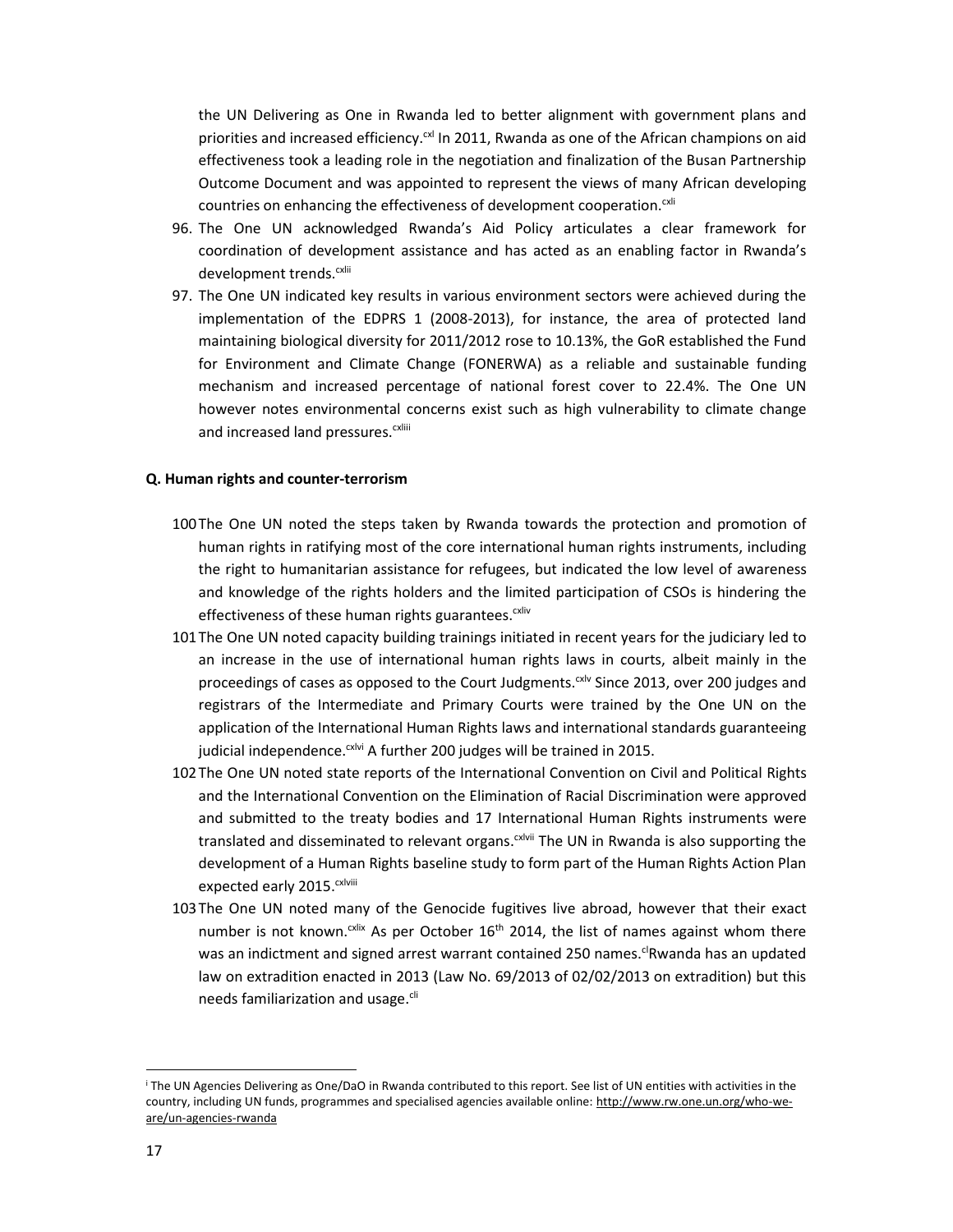the UN Delivering as One in Rwanda led to better alignment with government plans and priorities and increased efficiency. $\alpha$ l In 2011, Rwanda as one of the African champions on aid effectiveness took a leading role in the negotiation and finalization of the Busan Partnership Outcome Document and was appointed to represent the views of many African developing countries on enhancing the effectiveness of development cooperation.<sup>cxli</sup>

- 96. The One UN acknowledged Rwanda's Aid Policy articulates a clear framework for coordination of development assistance and has acted as an enabling factor in Rwanda's development trends.<sup>cxlii</sup>
- 97. The One UN indicated key results in various environment sectors were achieved during the implementation of the EDPRS 1 (2008-2013), for instance, the area of protected land maintaining biological diversity for 2011/2012 rose to 10.13%, the GoR established the Fund for Environment and Climate Change (FONERWA) as a reliable and sustainable funding mechanism and increased percentage of national forest cover to 22.4%. The One UN however notes environmental concerns exist such as high vulnerability to climate change and increased land pressures.<sup>cxliii</sup>

#### **Q. Human rights and counter-terrorism**

- 100The One UN noted the steps taken by Rwanda towards the protection and promotion of human rights in ratifying most of the core international human rights instruments, including the right to humanitarian assistance for refugees, but indicated the low level of awareness and knowledge of the rights holders and the limited participation of CSOs is hindering the effectiveness of these human rights guarantees.<sup>cxliv</sup>
- 101The One UN noted capacity building trainings initiated in recent years for the judiciary led to an increase in the use of international human rights laws in courts, albeit mainly in the proceedings of cases as opposed to the Court Judgments.<sup>cxlv</sup> Since 2013, over 200 judges and registrars of the Intermediate and Primary Courts were trained by the One UN on the application of the International Human Rights laws and international standards guaranteeing judicial independence.<sup>cxlvi</sup> A further 200 judges will be trained in 2015.
- 102The One UN noted state reports of the International Convention on Civil and Political Rights and the International Convention on the Elimination of Racial Discrimination were approved and submitted to the treaty bodies and 17 International Human Rights instruments were translated and disseminated to relevant organs.<sup>cxivii</sup> The UN in Rwanda is also supporting the development of a Human Rights baseline study to form part of the Human Rights Action Plan expected early 2015. CXIVIII
- 103The One UN noted many of the Genocide fugitives live abroad, however that their exact number is not known.<sup>cxlix</sup> As per October 16<sup>th</sup> 2014, the list of names against whom there was an indictment and signed arrest warrant contained 250 names.<sup>cl</sup>Rwanda has an updated law on extradition enacted in 2013 (Law No. 69/2013 of 02/02/2013 on extradition) but this needs familiarization and usage.<sup>cli</sup>

i The UN Agencies Delivering as One/DaO in Rwanda contributed to this report. See list of UN entities with activities in the country, including UN funds, programmes and specialised agencies available online: http://www.rw.one.un.org/who-weare/un-agencies-rwanda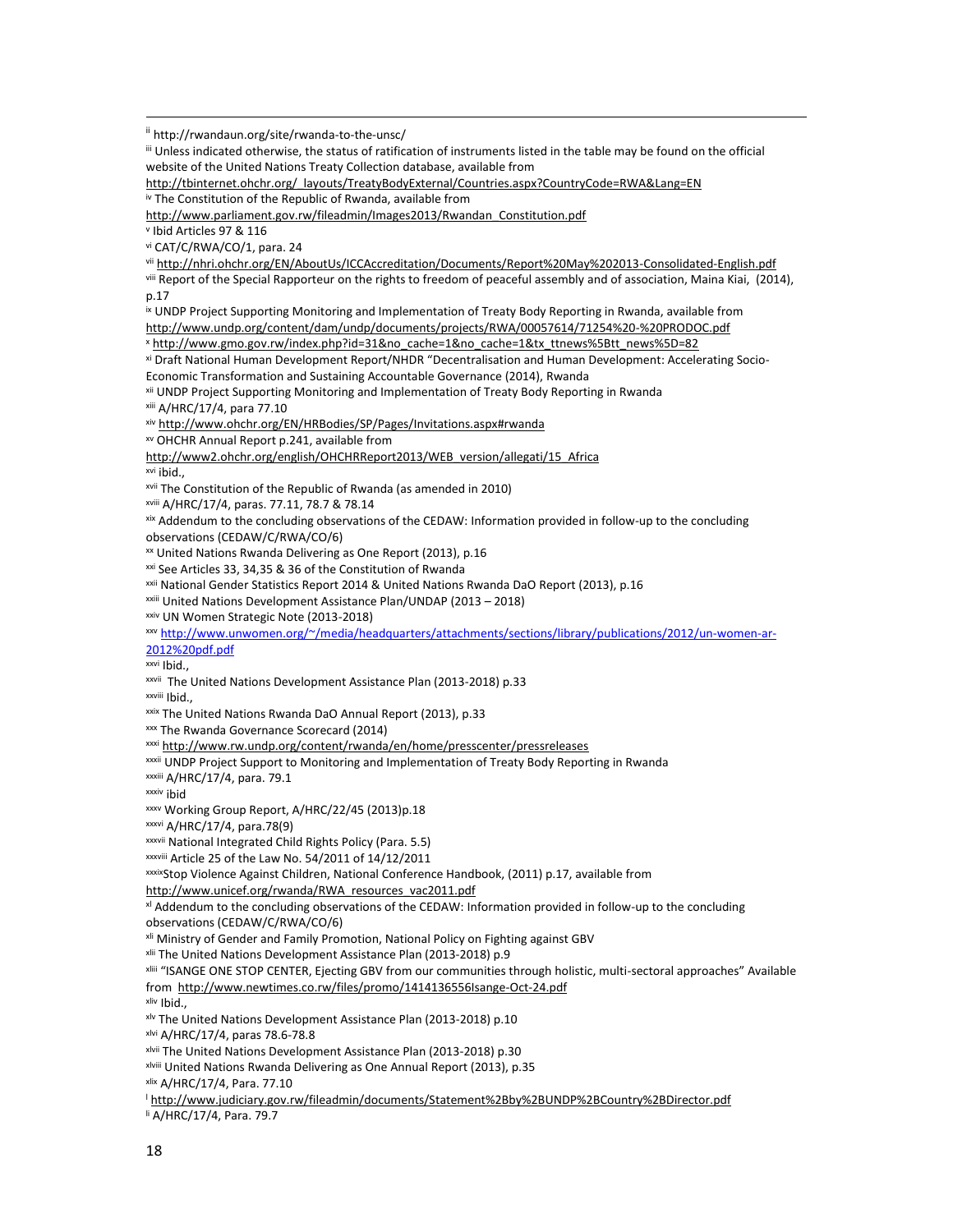ii http://rwandaun.org/site/rwanda-to-the-unsc/

iii Unless indicated otherwise, the status of ratification of instruments listed in the table may be found on the official website of the United Nations Treaty Collection database, available from

http://tbinternet.ohchr.org/\_layouts/TreatyBodyExternal/Countries.aspx?CountryCode=RWA&Lang=EN iv The Constitution of the Republic of Rwanda, available from

http://www.parliament.gov.rw/fileadmin/Images2013/Rwandan\_Constitution.pdf

<sup>v</sup> Ibid Articles 97 & 116

vi CAT/C/RWA/CO/1, para. 24

vii http://nhri.ohchr.org/EN/AboutUs/ICCAccreditation/Documents/Report%20May%202013-Consolidated-English.pdf

viii Report of the Special Rapporteur on the rights to freedom of peaceful assembly and of association, Maina Kiai, (2014), p.17

ix UNDP Project Supporting Monitoring and Implementation of Treaty Body Reporting in Rwanda, available from http://www.undp.org/content/dam/undp/documents/projects/RWA/00057614/71254%20-%20PRODOC.pdf x http://www.gmo.gov.rw/index.php?id=31&no\_cache=1&no\_cache=1&tx\_ttnews%5Btt\_news%5D=82

xi Draft National Human Development Report/NHDR "Decentralisation and Human Development: Accelerating Socio-

Economic Transformation and Sustaining Accountable Governance (2014), Rwanda<br><sup>xii</sup> UNDP Project Supporting Monitoring and Implementation of Treaty Body Reporting in Rwanda

xiii A/HRC/17/4, para 77.10

xiv http://www.ohchr.org/EN/HRBodies/SP/Pages/Invitations.aspx#rwanda

xv OHCHR Annual Report p.241, available from

http://www2.ohchr.org/english/OHCHRReport2013/WEB\_version/allegati/15\_Africa xvi ibid., xvii The Constitution of the Republic of Rwanda (as amended in 2010)

xviii A/HRC/17/4, paras. 77.11, 78.7 & 78.14

xix Addendum to the concluding observations of the CEDAW: Information provided in follow-up to the concluding observations (CEDAW/C/RWA/CO/6)

xx United Nations Rwanda Delivering as One Report (2013), p.16

xxi See Articles 33, 34,35 & 36 of the Constitution of Rwanda

xxii National Gender Statistics Report 2014 & United Nations Rwanda DaO Report (2013), p.16 xxiii United Nations Development Assistance Plan/UNDAP (2013 – 2018)

xxiv UN Women Strategic Note (2013-2018)

xxv http://www.unwomen.org/~/media/headquarters/attachments/sections/library/publications/2012/un-women-ar-

2012%20pdf.pdf

xxvi Ibid.,

xxvii The United Nations Development Assistance Plan (2013-2018) p.33

xxviii Ibid.,

xxix The United Nations Rwanda DaO Annual Report (2013), p.33

xxx The Rwanda Governance Scorecard (2014)

xxxi http://www.rw.undp.org/content/rwanda/en/home/presscenter/pressreleases

xxxii UNDP Project Support to Monitoring and Implementation of Treaty Body Reporting in Rwanda<br>xxxiii A/HRC/17/4, para. 79.1

xxxiv ibid

xxxv Working Group Report, A/HRC/22/45 (2013)p.18

xxxvi A/HRC/17/4, para.78(9)

xxxvii National Integrated Child Rights Policy (Para. 5.5)

xxxviii Article 25 of the Law No. 54/2011 of 14/12/2011

xxxixStop Violence Against Children, National Conference Handbook, (2011) p.17, available from

http://www.unicef.org/rwanda/RWA\_resources\_vac2011.pdf<br><sup>xl</sup> Addendum to the concluding observations of the CEDAW: Information provided in follow-up to the concluding

observations (CEDAW/C/RWA/CO/6)

x<sup>ii</sup> Ministry of Gender and Family Promotion, National Policy on Fighting against GBV

xlii The United Nations Development Assistance Plan (2013-2018) p.9

xliii "ISANGE ONE STOP CENTER, Ejecting GBV from our communities through holistic, multi-sectoral approaches" Available from http://www.newtimes.co.rw/files/promo/1414136556Isange-Oct-24.pdf

xliv Ibid.,

xlv The United Nations Development Assistance Plan (2013-2018) p.10

xlvi A/HRC/17/4, paras 78.6-78.8

xlvii The United Nations Development Assistance Plan (2013-2018) p.30

xlviii United Nations Rwanda Delivering as One Annual Report (2013), p.35

xlix A/HRC/17/4, Para. 77.10

<sup>l</sup> http://www.judiciary.gov.rw/fileadmin/documents/Statement%2Bby%2BUNDP%2BCountry%2BDirector.pdf

li A/HRC/17/4, Para. 79.7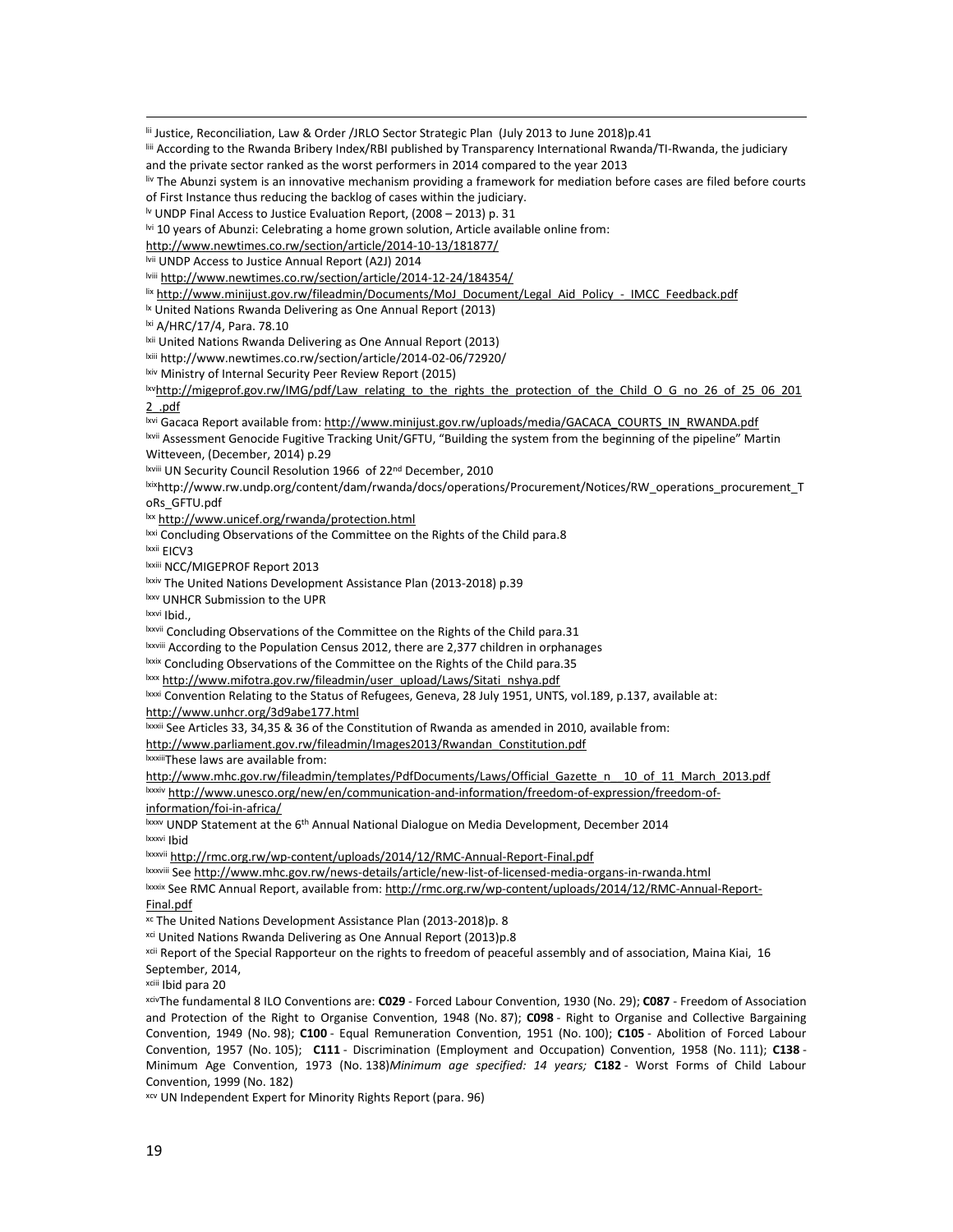lii Justice, Reconciliation, Law & Order /JRLO Sector Strategic Plan (July 2013 to June 2018)p.41

liii According to the Rwanda Bribery Index/RBI published by Transparency International Rwanda/TI-Rwanda, the judiciary and the private sector ranked as the worst performers in 2014 compared to the year 2013

liv The Abunzi system is an innovative mechanism providing a framework for mediation before cases are filed before courts of First Instance thus reducing the backlog of cases within the judiciary.

 $\text{W}$  UNDP Final Access to Justice Evaluation Report, (2008 – 2013) p. 31

lvi 10 years of Abunzi: Celebrating a home grown solution, Article available online from:

http://www.newtimes.co.rw/section/article/2014-10-13/181877/

lvii UNDP Access to Justice Annual Report (A2J) 2014

lviii http://www.newtimes.co.rw/section/article/2014-12-24/184354/

lix http://www.minijust.gov.rw/fileadmin/Documents/MoJ\_Document/Legal\_Aid\_Policy\_-\_IMCC\_Feedback.pdf

<sup>1x</sup> United Nations Rwanda Delivering as One Annual Report (2013)

<sup>lxi</sup> A/HRC/17/4, Para. 78.10

lxii United Nations Rwanda Delivering as One Annual Report (2013)

lxiii http://www.newtimes.co.rw/section/article/2014-02-06/72920/

lxiv Ministry of Internal Security Peer Review Report (2015)

lxvhttp://migeprof.gov.rw/IMG/pdf/Law\_relating\_to\_the\_rights\_the\_protection\_of\_the\_Child\_O\_G\_no\_26\_of\_25\_06\_201 2\_.pdf

lxvi Gacaca Report available from: http://www.minijust.gov.rw/uploads/media/GACACA\_COURTS\_IN\_RWANDA.pdf

lxvii Assessment Genocide Fugitive Tracking Unit/GFTU, "Building the system from the beginning of the pipeline" Martin Witteveen, (December, 2014) p.29

lxviii UN Security Council Resolution 1966 of 22<sup>nd</sup> December, 2010

lxixhttp://www.rw.undp.org/content/dam/rwanda/docs/operations/Procurement/Notices/RW\_operations\_procurement\_T oRs\_GFTU.pdf

lxx http://www.unicef.org/rwanda/protection.html

<sup>Ixxi</sup> Concluding Observations of the Committee on the Rights of the Child para.8

lxxii EICV3<br><sup>lxxiii</sup> NCC/MIGEPROF Report 2013

lxxiv The United Nations Development Assistance Plan (2013-2018) p.39

lxxv UNHCR Submission to the UPR

lxxvi Ibid.,

lxxvii Concluding Observations of the Committee on the Rights of the Child para.31

lxxviii According to the Population Census 2012, there are 2,377 children in orphanages lxxix Concluding Observations of the Committee on the Rights of the Child para.35 lxxx http://www.mifotra.gov.rw/fileadmin/user\_upload

lxxxi Convention Relating to the Status of Refugees, Geneva, 28 July 1951, UNTS, vol.189, p.137, available at:

http://www.unhcr.org/3d9abe177.html

lxxxii See Articles 33, 34,35 & 36 of the Constitution of Rwanda as amended in 2010, available from:

http://www.parliament.gov.rw/fileadmin/Images2013/Rwandan\_Constitution.pdf

lxxxiiiThese laws are available from:

http://www.mhc.gov.rw/fileadmin/templates/PdfDocuments/Laws/Official\_Gazette\_n\_\_10\_of\_11\_March\_2013.pdf lxxxiv http://www.unesco.org/new/en/communication-and-information/freedom-of-expression/freedom-of-

information/foi-in-africa/

lxxxv UNDP Statement at the 6<sup>th</sup> Annual National Dialogue on Media Development, December 2014<br>lxxxvi Ibid

lxxxvii http://rmc.org.rw/wp-content/uploads/2014/12/RMC-Annual-Report-Final.pdf

<sup>lxxxviii</sup> See <u>http://www.mhc.gov.rw/news-details/article/new-list-of-licensed-media-organs-in-rwanda.html<br><sup>lxxxix</sup> See RMC Annual Report, available from: <u>http://rmc.org.rw/wp-content/uploads/2014/12/RMC-Annual-Report-</u></u> Final.pdf

xc The United Nations Development Assistance Plan (2013-2018)p. 8

xci United Nations Rwanda Delivering as One Annual Report (2013)p.8

<sup>xcii</sup> Report of the Special Rapporteur on the rights to freedom of peaceful assembly and of association, Maina Kiai, 16 September, 2014,

xciii Ibid para 20

xcivThe fundamental 8 ILO Conventions are: **C029** - Forced Labour Convention, 1930 (No. 29); **C087** - Freedom of Association and Protection of the Right to Organise Convention, 1948 (No. 87); **C098** - Right to Organise and Collective Bargaining Convention, 1949 (No. 98); **C100** - Equal Remuneration Convention, 1951 (No. 100); **C105** - Abolition of Forced Labour Convention, 1957 (No. 105); **C111** - Discrimination (Employment and Occupation) Convention, 1958 (No. 111); **C138** - Minimum Age Convention, 1973 (No. 138)*Minimum age specified: 14 years;* **C182** - Worst Forms of Child Labour Convention, 1999 (No. 182)

xcv UN Independent Expert for Minority Rights Report (para. 96)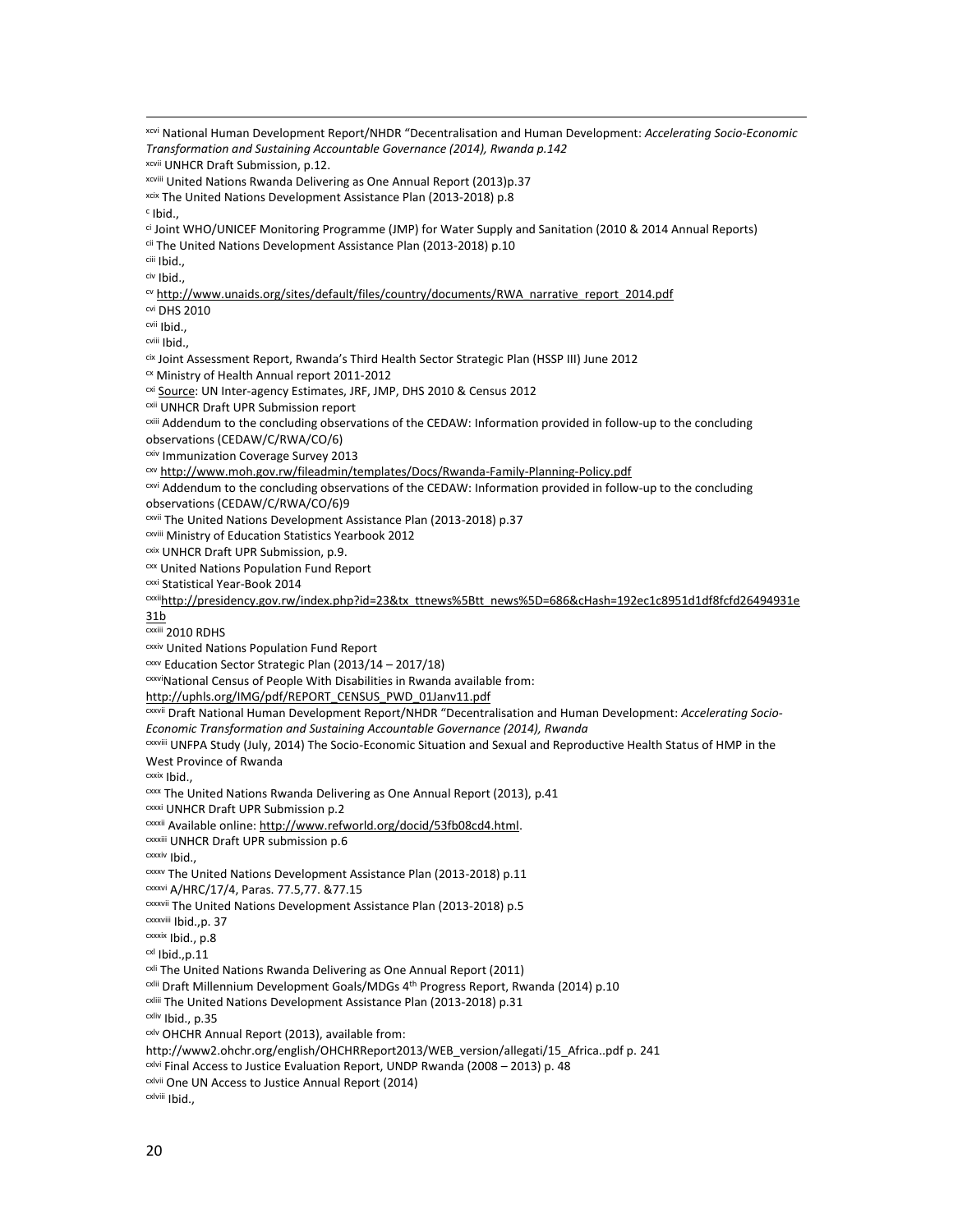xcvi National Human Development Report/NHDR "Decentralisation and Human Development: *Accelerating Socio-Economic Transformation and Sustaining Accountable Governance (2014), Rwanda p.142* xcvii UNHCR Draft Submission, p.12. xcviii United Nations Rwanda Delivering as One Annual Report (2013)p.37 xcix The United Nations Development Assistance Plan (2013-2018) p.8 <sup>c</sup> Ibid., ci Joint WHO/UNICEF Monitoring Programme (JMP) for Water Supply and Sanitation (2010 & 2014 Annual Reports) cii The United Nations Development Assistance Plan (2013-2018) p.10 ciii Ibid., civ Ibid., cv http://www.unaids.org/sites/default/files/country/documents/RWA\_narrative\_report\_2014.pdf cvi DHS 2010 cvii Ibid., cviii Ibid., cix Joint Assessment Report, Rwanda's Third Health Sector Strategic Plan (HSSP III) June 2012  $\alpha$  Ministry of Health Annual report 2011-2012<br> $\alpha$  Source: UN Inter-agency Estimates, JRF, JMP, DHS 2010 & Census 2012 <sup>cxii</sup> UNHCR Draft UPR Submission report<br><sup>cxiii</sup> Addendum to the concluding observations of the CEDAW: Information provided in follow-up to the concluding observations (CEDAW/C/RWA/CO/6) cxiv Immunization Coverage Survey 2013 cxv http://www.moh.gov.rw/fileadmin/templates/Docs/Rwanda-Family-Planning-Policy.pdf cxvi Addendum to the concluding observations of the CEDAW: Information provided in follow-up to the concluding observations (CEDAW/C/RWA/CO/6)9 cxvii The United Nations Development Assistance Plan (2013-2018) p.37 cxviii Ministry of Education Statistics Yearbook 2012 cxix UNHCR Draft UPR Submission, p.9. cxx United Nations Population Fund Report cxxi Statistical Year-Book 2014 cxxiihttp://presidency.gov.rw/index.php?id=23&tx\_ttnews%5Btt\_news%5D=686&cHash=192ec1c8951d1df8fcfd26494931e 31b cxxiii 2010 RDHS cxxiv United Nations Population Fund Report  $cxxv$  Education Sector Strategic Plan (2013/14 – 2017/18) cxxviNational Census of People With Disabilities in Rwanda available from: http://uphls.org/IMG/pdf/REPORT\_CENSUS\_PWD\_01Janv11.pdf<br><sup>CXVII</sup> Draft National Human Development Report/NHDR "Decentralisation and Human Development: *Accelerating Socio-Economic Transformation and Sustaining Accountable Governance (2014), Rwanda* cxxviii UNFPA Study (July, 2014) The Socio-Economic Situation and Sexual and Reproductive Health Status of HMP in the West Province of Rwanda cxxix Ibid., cxxx The United Nations Rwanda Delivering as One Annual Report (2013), p.41 cxxxi UNHCR Draft UPR Submission p.2 cxxxii Available online: http://www.refworld.org/docid/53fb08cd4.html. cxxxiii UNHCR Draft UPR submission p.6 cxxxiv Ibid., cxxxv The United Nations Development Assistance Plan (2013-2018) p.11 cxxxvi A/HRC/17/4, Paras. 77.5,77. &77.15 cxxxvii The United Nations Development Assistance Plan (2013-2018) p.5 cxxxviii Ibid.,p. 37 <sup>cxxxix</sup> Ibid., p.8<br><sup>cxl</sup> Ibid.,p.11  $c<sub>xli</sub>$  The United Nations Rwanda Delivering as One Annual Report (2011) cxlii Draft Millennium Development Goals/MDGs 4th Progress Report, Rwanda (2014) p.10 <sup>cxliii</sup> The United Nations Development Assistance Plan (2013-2018) p.31 cxliv Ibid., p.35 cxlv OHCHR Annual Report (2013), available from: http://www2.ohchr.org/english/OHCHRReport2013/WEB\_version/allegati/15\_Africa..pdf p. 241 cxlvi Final Access to Justice Evaluation Report, UNDP Rwanda (2008 – 2013) p. 48 cxlvii One UN Access to Justice Annual Report (2014) cxlviii Ibid.,